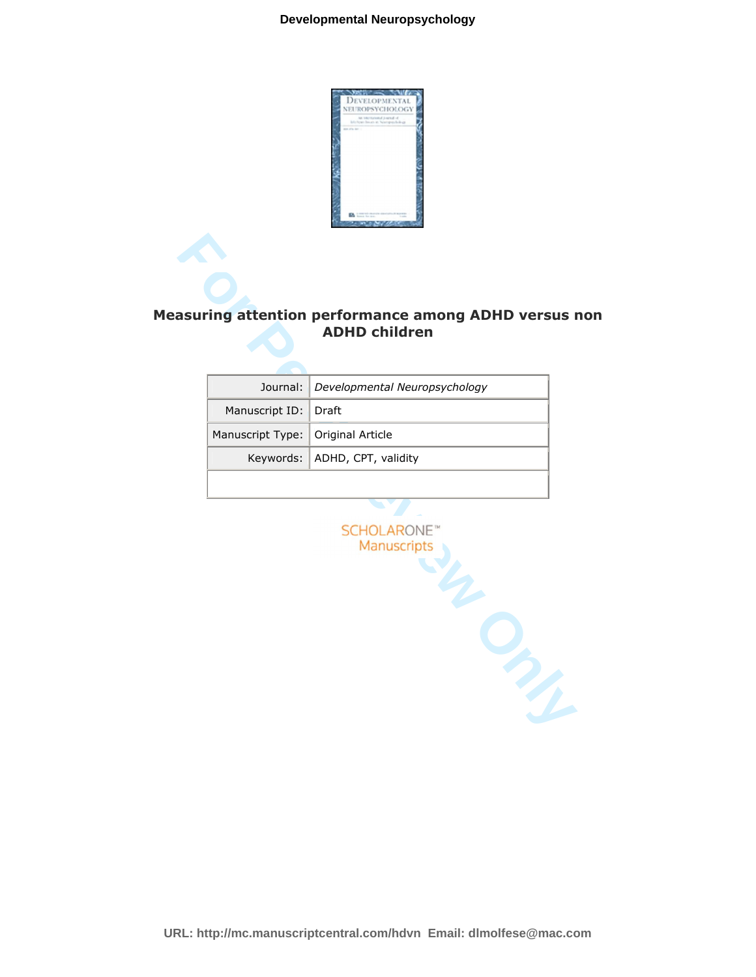

# **Measuring attention performance among ADHD versus non ADHD children**

|                                   | Journal:   Developmental Neuropsychology |
|-----------------------------------|------------------------------------------|
| Manuscript ID: Draft              |                                          |
| Manuscript Type: Original Article |                                          |
|                                   | Keywords: ADHD, CPT, validity            |
|                                   |                                          |

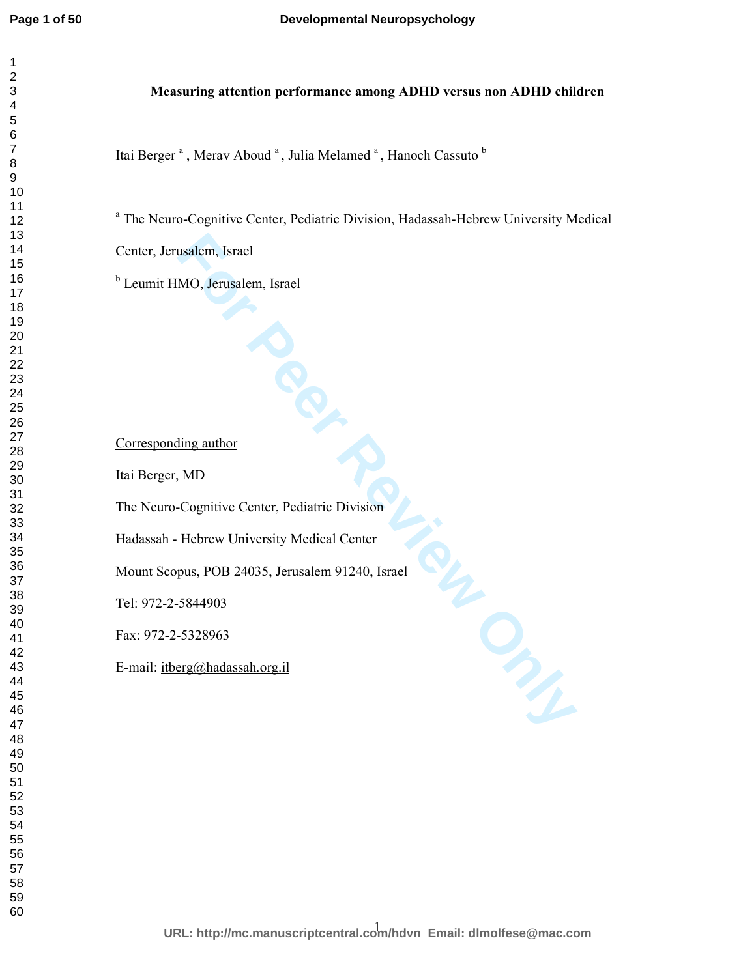# **Measuring attention performance among ADHD versus non ADHD children**

Itai Berger<sup>a</sup>, Merav Aboud<sup>a</sup>, Julia Melamed<sup>a</sup>, Hanoch Cassuto<sup>b</sup>

<sup>a</sup> The Neuro-Cognitive Center, Pediatric Division, Hadassah-Hebrew University Medical

Center, Jerusalem, Israel

<sup>b</sup> Leumit HMO, Jerusalem, Israel

Corresponding author

Itai Berger, MD

The Neuro-Cognitive Center, Pediatric Division

Hadassah - Hebrew University Medical Center

**For Pediatric Division**<br>Center, Pediatric Division<br>niversity Medical Center<br>4035, Jerusalem 91240, Israel<br>ah.org.il Mount Scopus, POB 24035, Jerusalem 91240, Israel

Tel: 972-2-5844903

Fax: 972-2-5328963

E-mail: itberg@hadassah.org.il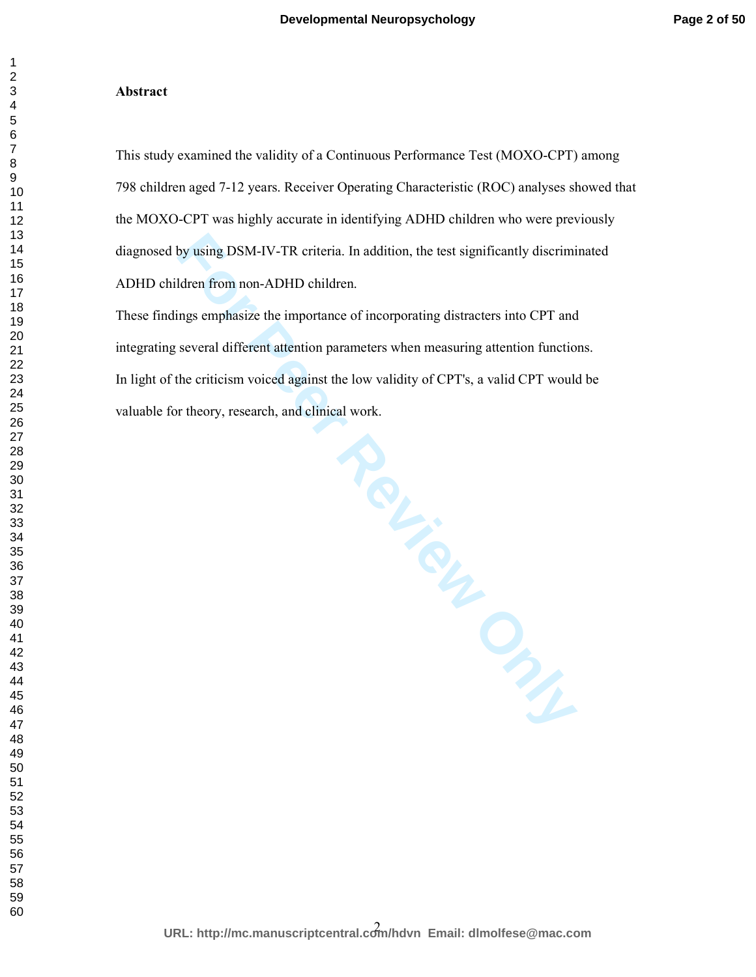#### **Abstract**

This study examined the validity of a Continuous Performance Test (MOXO-CPT) among 798 children aged 7-12 years. Receiver Operating Characteristic (ROC) analyses showed that the MOXO-CPT was highly accurate in identifying ADHD children who were previously diagnosed by using DSM-IV-TR criteria. In addition, the test significantly discriminated ADHD children from non-ADHD children.

These findings emphasize the importance of incorporating distracters into CPT and integrating several different attention parameters when measuring attention functions. In light of the criticism voiced against the low validity of CPT's, a valid CPT would be valuable for theory, research, and clinical work.

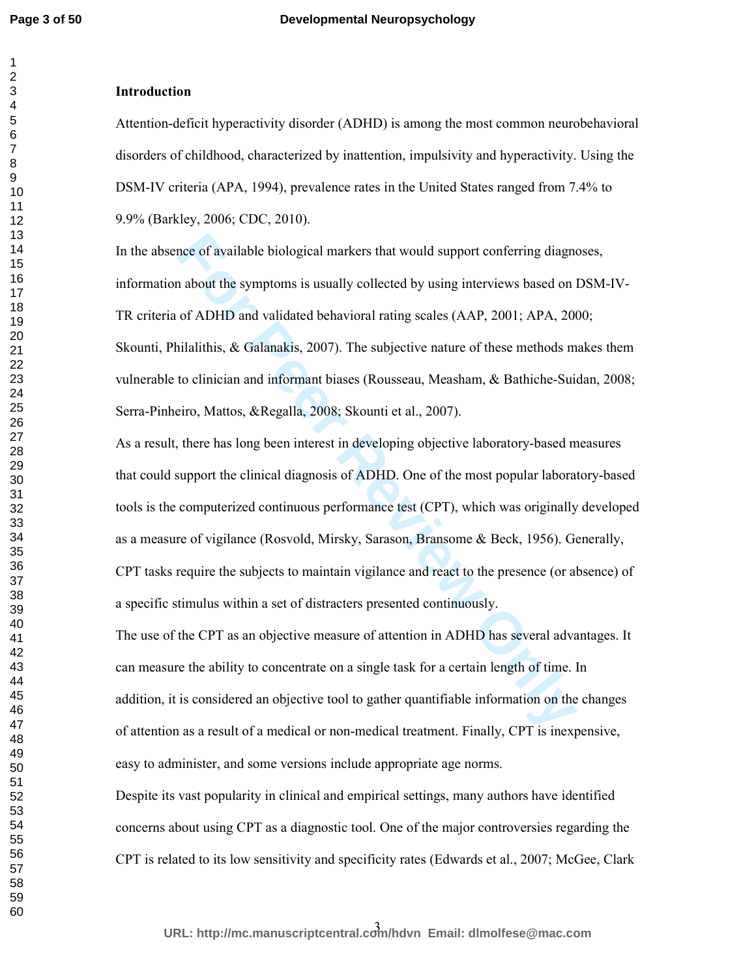# **Introduction**

Attention-deficit hyperactivity disorder (ADHD) is among the most common neurobehavioral disorders of childhood, characterized by inattention, impulsivity and hyperactivity. Using the DSM-IV criteria (APA, 1994), prevalence rates in the United States ranged from 7.4% to 9.9% (Barkley, 2006; CDC, 2010).

nce of available biological markers that would support conferring diagno<br>a about the symptoms is usually collected by using interviews based on 1<br>of ADHD and validated behavioral rating scales (AAP, 2001; APA, 200<br>iilalith In the absence of available biological markers that would support conferring diagnoses, information about the symptoms is usually collected by using interviews based on DSM-IV-TR criteria of ADHD and validated behavioral rating scales (AAP, 2001; APA, 2000; Skounti, Philalithis, & Galanakis, 2007). The subjective nature of these methods makes them vulnerable to clinician and informant biases (Rousseau, Measham, & Bathiche-Suidan, 2008; Serra-Pinheiro, Mattos, &Regalla, 2008; Skounti et al., 2007).

As a result, there has long been interest in developing objective laboratory-based measures that could support the clinical diagnosis of ADHD. One of the most popular laboratory-based tools is the computerized continuous performance test (CPT), which was originally developed as a measure of vigilance (Rosvold, Mirsky, Sarason, Bransome & Beck, 1956). Generally, CPT tasks require the subjects to maintain vigilance and react to the presence (or absence) of a specific stimulus within a set of distracters presented continuously.

The use of the CPT as an objective measure of attention in ADHD has several advantages. It can measure the ability to concentrate on a single task for a certain length of time. In addition, it is considered an objective tool to gather quantifiable information on the changes of attention as a result of a medical or non-medical treatment. Finally, CPT is inexpensive, easy to administer, and some versions include appropriate age norms.

Despite its vast popularity in clinical and empirical settings, many authors have identified concerns about using CPT as a diagnostic tool. One of the major controversies regarding the CPT is related to its low sensitivity and specificity rates (Edwards et al., 2007; McGee, Clark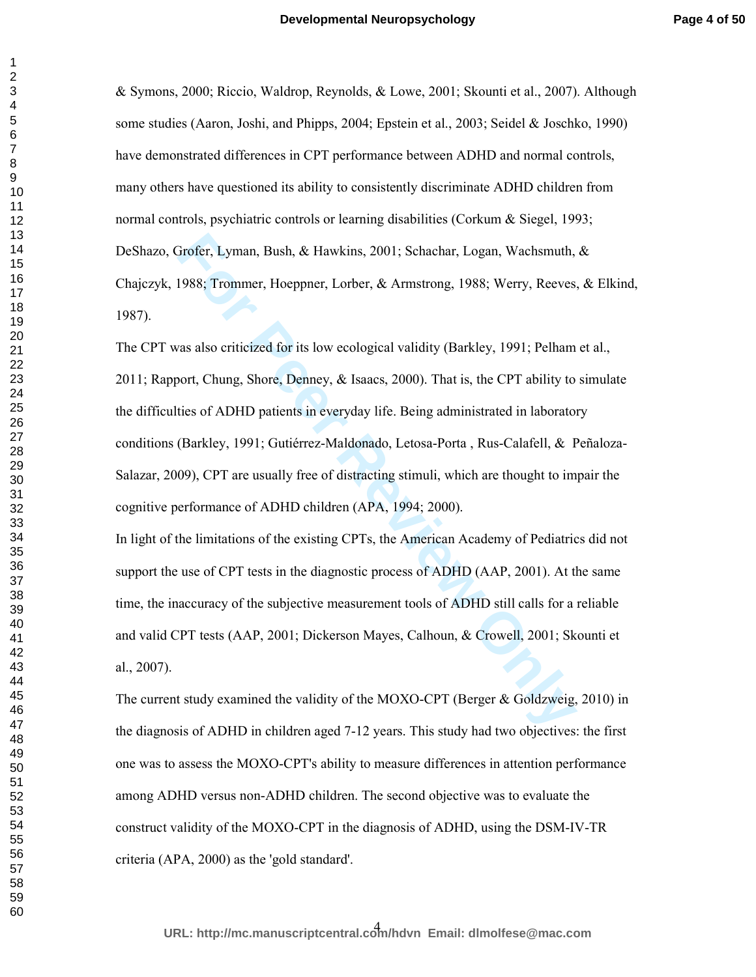& Symons, 2000; Riccio, Waldrop, Reynolds, & Lowe, 2001; Skounti et al., 2007). Although some studies (Aaron, Joshi, and Phipps, 2004; Epstein et al., 2003; Seidel & Joschko, 1990) have demonstrated differences in CPT performance between ADHD and normal controls, many others have questioned its ability to consistently discriminate ADHD children from normal controls, psychiatric controls or learning disabilities (Corkum & Siegel, 1993; DeShazo, Grofer, Lyman, Bush, & Hawkins, 2001; Schachar, Logan, Wachsmuth, & Chajczyk, 1988; Trommer, Hoeppner, Lorber, & Armstrong, 1988; Werry, Reeves, & Elkind, 1987).

**Frofer, Lyman, Bush, & Hawkins, 2001; Schachar, Logan, Wachsmuth, 1988; Trommer, Hoeppner, Lorber, & Armstrong, 1988; Werry, Reeves as also criticized for its low ecological validity (Barkley, 1991; Pelham bort, Chung, Sh** The CPT was also criticized for its low ecological validity (Barkley, 1991; Pelham et al., 2011; Rapport, Chung, Shore, Denney, & Isaacs, 2000). That is, the CPT ability to simulate the difficulties of ADHD patients in everyday life. Being administrated in laboratory conditions (Barkley, 1991; Gutiérrez-Maldonado, Letosa-Porta , Rus-Calafell, & Peñaloza-Salazar, 2009), CPT are usually free of distracting stimuli, which are thought to impair the cognitive performance of ADHD children (APA, 1994; 2000).

In light of the limitations of the existing CPTs, the American Academy of Pediatrics did not support the use of CPT tests in the diagnostic process of ADHD (AAP, 2001). At the same time, the inaccuracy of the subjective measurement tools of ADHD still calls for a reliable and valid CPT tests (AAP, 2001; Dickerson Mayes, Calhoun, & Crowell, 2001; Skounti et al., 2007).

The current study examined the validity of the MOXO-CPT (Berger & Goldzweig, 2010) in the diagnosis of ADHD in children aged 7-12 years. This study had two objectives: the first one was to assess the MOXO-CPT's ability to measure differences in attention performance among ADHD versus non-ADHD children. The second objective was to evaluate the construct validity of the MOXO-CPT in the diagnosis of ADHD, using the DSM-IV-TR criteria (APA, 2000) as the 'gold standard'.

4 **URL: http://mc.manuscriptcentral.com/hdvn Email: dlmolfese@mac.com**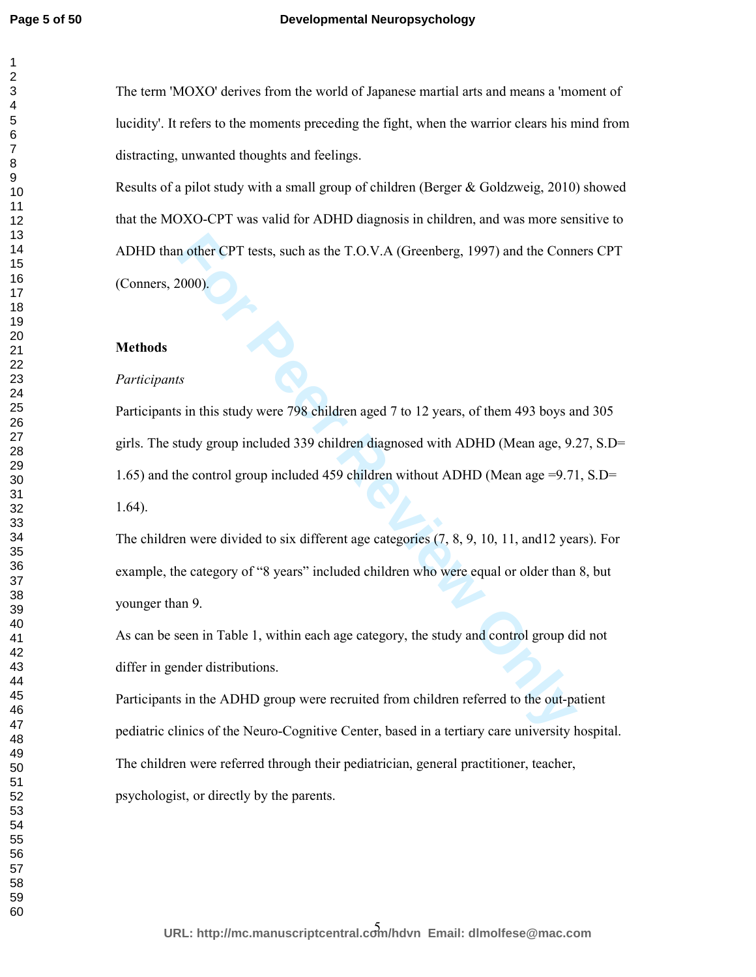## **Developmental Neuropsychology**

The term 'MOXO' derives from the world of Japanese martial arts and means a 'moment of lucidity'. It refers to the moments preceding the fight, when the warrior clears his mind from distracting, unwanted thoughts and feelings.

Results of a pilot study with a small group of children (Berger & Goldzweig, 2010) showed that the MOXO-CPT was valid for ADHD diagnosis in children, and was more sensitive to ADHD than other CPT tests, such as the T.O.V.A (Greenberg, 1997) and the Conners CPT (Conners, 2000).

# **Methods**

# *Participants*

In other CPT tests, such as the T.O.V.A (Greenberg, 1997) and the Conn<br>
2000).<br> **For Peer Review Only 2012** to 12 years, of them 493 boys and<br>
tudy group included 339 children diagnosed with ADHD (Mean age, 9.2<br>
the contro Participants in this study were 798 children aged 7 to 12 years, of them 493 boys and 305 girls. The study group included 339 children diagnosed with ADHD (Mean age, 9.27, S.D= 1.65) and the control group included 459 children without ADHD (Mean age =9.71, S.D= 1.64).

The children were divided to six different age categories (7, 8, 9, 10, 11, and12 years). For example, the category of "8 years" included children who were equal or older than 8, but younger than 9.

As can be seen in Table 1, within each age category, the study and control group did not differ in gender distributions.

Participants in the ADHD group were recruited from children referred to the out-patient pediatric clinics of the Neuro-Cognitive Center, based in a tertiary care university hospital. The children were referred through their pediatrician, general practitioner, teacher, psychologist, or directly by the parents.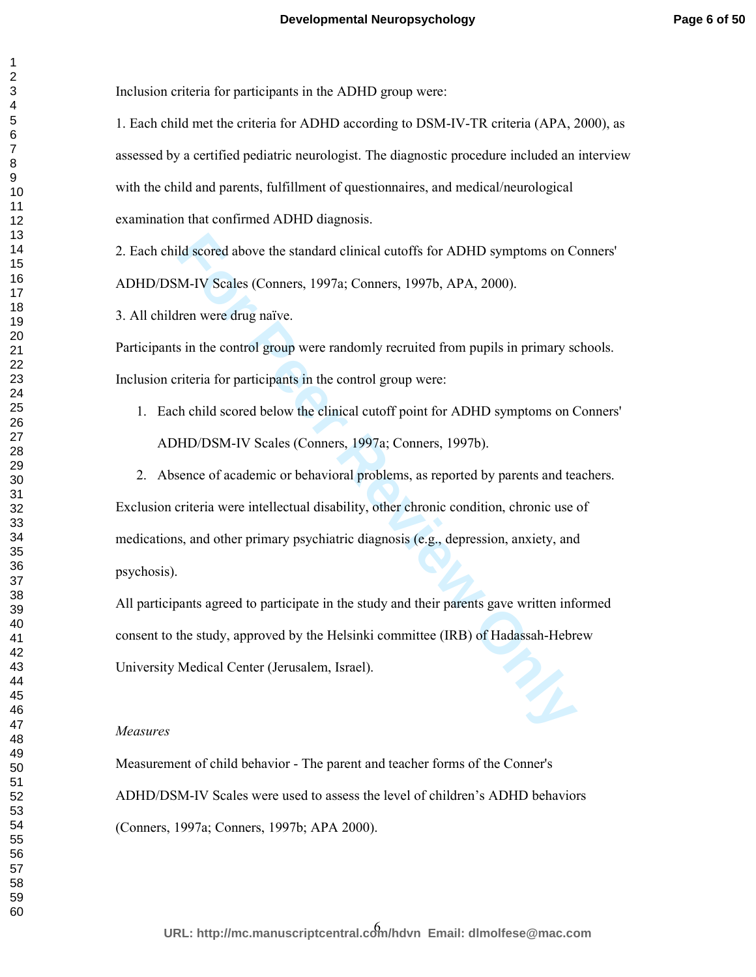Inclusion criteria for participants in the ADHD group were:

1. Each child met the criteria for ADHD according to DSM-IV-TR criteria (APA, 2000), as assessed by a certified pediatric neurologist. The diagnostic procedure included an interview with the child and parents, fulfillment of questionnaires, and medical/neurological examination that confirmed ADHD diagnosis.

2. Each child scored above the standard clinical cutoffs for ADHD symptoms on Conners' ADHD/DSM-IV Scales (Conners, 1997a; Conners, 1997b, APA, 2000).

3. All children were drug naïve.

Participants in the control group were randomly recruited from pupils in primary schools. Inclusion criteria for participants in the control group were:

1. Each child scored below the clinical cutoff point for ADHD symptoms on Conners' ADHD/DSM-IV Scales (Conners, 1997a; Conners, 1997b).

Id scored above the standard clinical cutoffs for ADHD symptoms on C<br>M-IV Scales (Conners, 1997a; Conners, 1997b, APA, 2000).<br>Iren were drug naïve.<br>in the control group were randomly recruited from pupils in primary sc<br>rit 2. Absence of academic or behavioral problems, as reported by parents and teachers. Exclusion criteria were intellectual disability, other chronic condition, chronic use of medications, and other primary psychiatric diagnosis (e.g., depression, anxiety, and psychosis).

All participants agreed to participate in the study and their parents gave written informed consent to the study, approved by the Helsinki committee (IRB) of Hadassah-Hebrew University Medical Center (Jerusalem, Israel).

# *Measures*

Measurement of child behavior - The parent and teacher forms of the Conner's ADHD/DSM-IV Scales were used to assess the level of children's ADHD behaviors (Conners, 1997a; Conners, 1997b; APA 2000).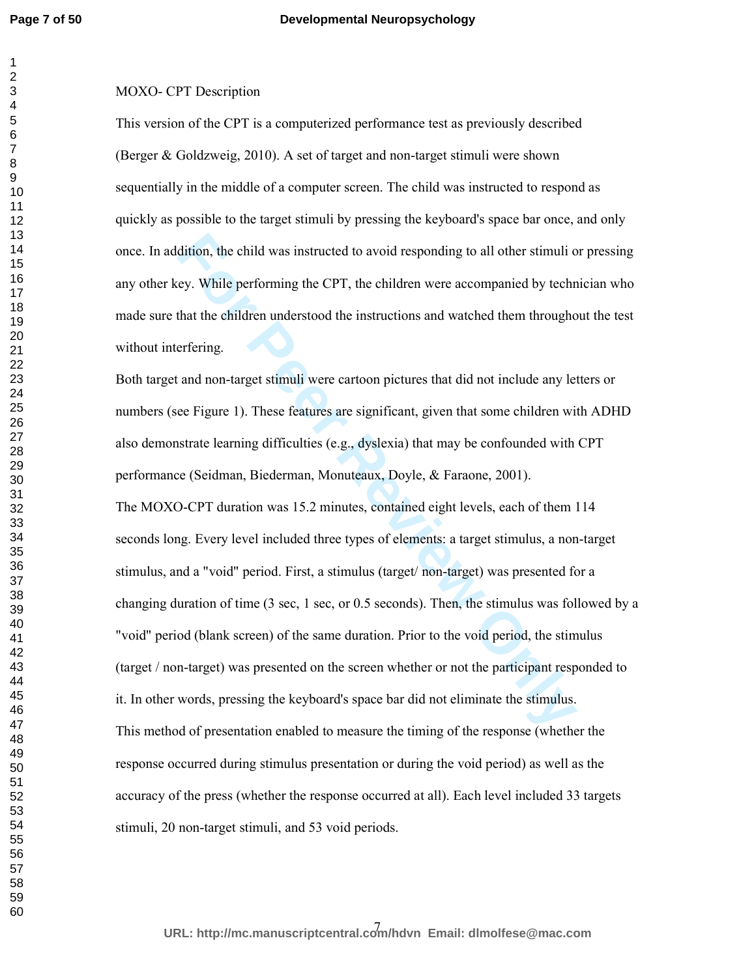# MOXO- CPT Description

This version of the CPT is a computerized performance test as previously described (Berger & Goldzweig, 2010). A set of target and non-target stimuli were shown sequentially in the middle of a computer screen. The child was instructed to respond as quickly as possible to the target stimuli by pressing the keyboard's space bar once, and only once. In addition, the child was instructed to avoid responding to all other stimuli or pressing any other key. While performing the CPT, the children were accompanied by technician who made sure that the children understood the instructions and watched them throughout the test without interfering.

dition, the child was instructed to avoid responding to all other stimuli of<br>ey. While performing the CPT, the children were accompanied by techn<br>that the children understood the instructions and watched them througho<br>erfe Both target and non-target stimuli were cartoon pictures that did not include any letters or numbers (see Figure 1). These features are significant, given that some children with ADHD also demonstrate learning difficulties (e.g., dyslexia) that may be confounded with CPT performance (Seidman, Biederman, Monuteaux, Doyle, & Faraone, 2001). The MOXO-CPT duration was 15.2 minutes, contained eight levels, each of them 114 seconds long. Every level included three types of elements: a target stimulus, a non-target stimulus, and a "void" period. First, a stimulus (target/ non-target) was presented for a changing duration of time (3 sec, 1 sec, or 0.5 seconds). Then, the stimulus was followed by a "void" period (blank screen) of the same duration. Prior to the void period, the stimulus (target / non-target) was presented on the screen whether or not the participant responded to it. In other words, pressing the keyboard's space bar did not eliminate the stimulus. This method of presentation enabled to measure the timing of the response (whether the response occurred during stimulus presentation or during the void period) as well as the accuracy of the press (whether the response occurred at all). Each level included 33 targets stimuli, 20 non-target stimuli, and 53 void periods.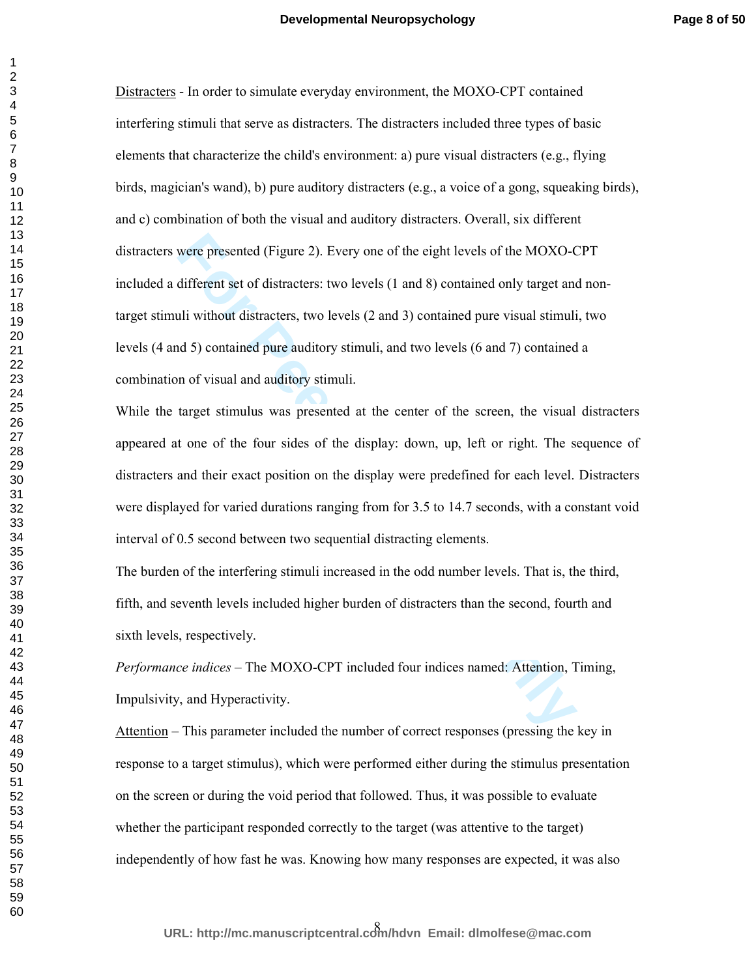were presented (Figure 2). Every one of the eight levels of the MOXO-<br> **Kultificent set of distracters:** two levels (1 and 8) contained only target and<br> **Follow** distracters, two levels (2 and 3) contained only target and<br> Distracters - In order to simulate everyday environment, the MOXO-CPT contained interfering stimuli that serve as distracters. The distracters included three types of basic elements that characterize the child's environment: a) pure visual distracters (e.g., flying birds, magician's wand), b) pure auditory distracters (e.g., a voice of a gong, squeaking birds), and c) combination of both the visual and auditory distracters. Overall, six different distracters were presented (Figure 2). Every one of the eight levels of the MOXO-CPT included a different set of distracters: two levels (1 and 8) contained only target and nontarget stimuli without distracters, two levels (2 and 3) contained pure visual stimuli, two levels (4 and 5) contained pure auditory stimuli, and two levels (6 and 7) contained a combination of visual and auditory stimuli.

While the target stimulus was presented at the center of the screen, the visual distracters appeared at one of the four sides of the display: down, up, left or right. The sequence of distracters and their exact position on the display were predefined for each level. Distracters were displayed for varied durations ranging from for 3.5 to 14.7 seconds, with a constant void interval of 0.5 second between two sequential distracting elements.

The burden of the interfering stimuli increased in the odd number levels. That is, the third, fifth, and seventh levels included higher burden of distracters than the second, fourth and sixth levels, respectively.

*Performance indices* – The MOXO-CPT included four indices named: Attention, Timing, Impulsivity, and Hyperactivity.

Attention – This parameter included the number of correct responses (pressing the key in response to a target stimulus), which were performed either during the stimulus presentation on the screen or during the void period that followed. Thus, it was possible to evaluate whether the participant responded correctly to the target (was attentive to the target) independently of how fast he was. Knowing how many responses are expected, it was also

8 **URL: http://mc.manuscriptcentral.com/hdvn Email: dlmolfese@mac.com**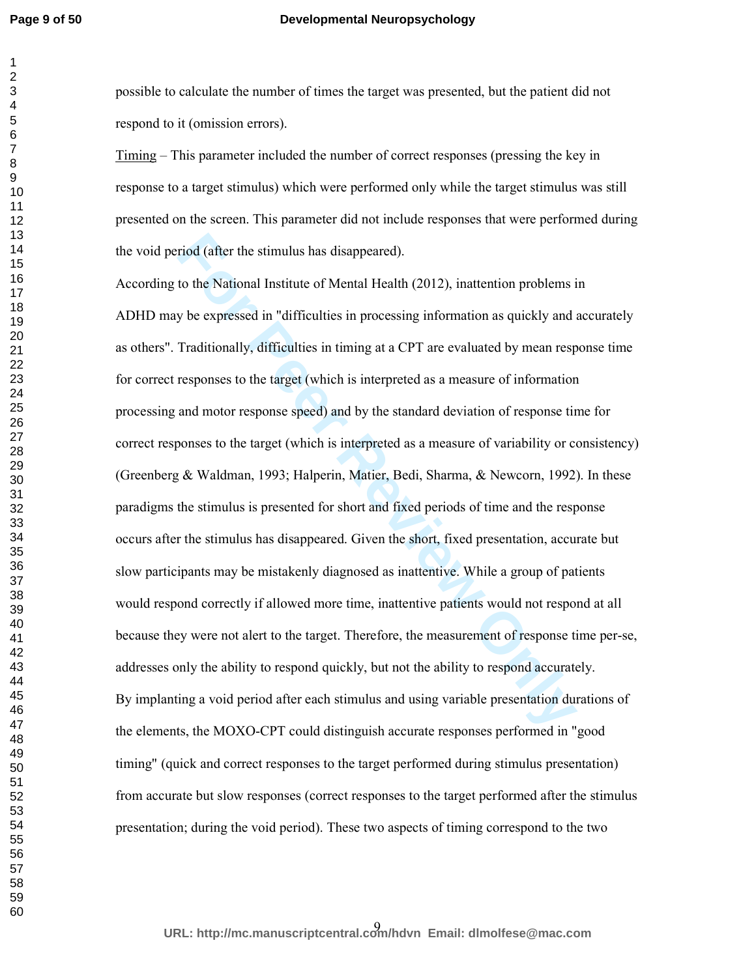### **Developmental Neuropsychology**

possible to calculate the number of times the target was presented, but the patient did not respond to it (omission errors).

Timing – This parameter included the number of correct responses (pressing the key in response to a target stimulus) which were performed only while the target stimulus was still presented on the screen. This parameter did not include responses that were performed during the void period (after the stimulus has disappeared).

riod (after the stimulus has disappeared).<br>
to the National Institute of Mental Health (2012), inattention problems is<br>
y be expressed in "difficulties in processing information as quickly and in<br>
Traditionally, difficulti According to the National Institute of Mental Health (2012), inattention problems in ADHD may be expressed in "difficulties in processing information as quickly and accurately as others". Traditionally, difficulties in timing at a CPT are evaluated by mean response time for correct responses to the target (which is interpreted as a measure of information processing and motor response speed) and by the standard deviation of response time for correct responses to the target (which is interpreted as a measure of variability or consistency) (Greenberg & Waldman, 1993; Halperin, Matier, Bedi, Sharma, & Newcorn, 1992). In these paradigms the stimulus is presented for short and fixed periods of time and the response occurs after the stimulus has disappeared. Given the short, fixed presentation, accurate but slow participants may be mistakenly diagnosed as inattentive. While a group of patients would respond correctly if allowed more time, inattentive patients would not respond at all because they were not alert to the target. Therefore, the measurement of response time per-se, addresses only the ability to respond quickly, but not the ability to respond accurately. By implanting a void period after each stimulus and using variable presentation durations of the elements, the MOXO-CPT could distinguish accurate responses performed in "good timing" (quick and correct responses to the target performed during stimulus presentation) from accurate but slow responses (correct responses to the target performed after the stimulus presentation; during the void period). These two aspects of timing correspond to the two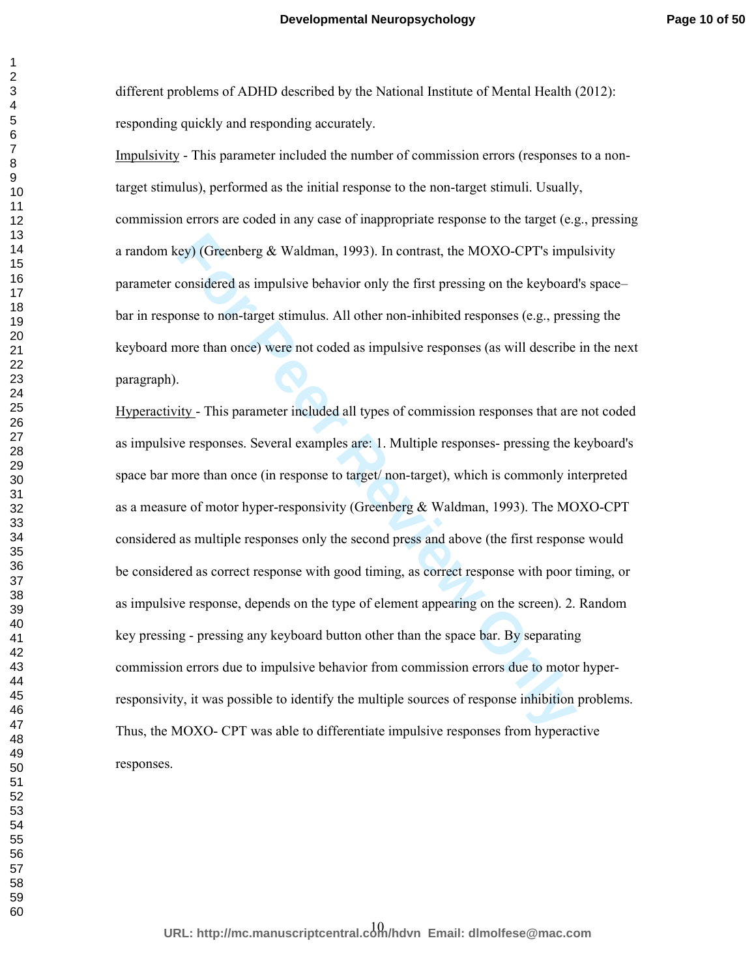different problems of ADHD described by the National Institute of Mental Health (2012): responding quickly and responding accurately.

Impulsivity - This parameter included the number of commission errors (responses to a nontarget stimulus), performed as the initial response to the non-target stimuli. Usually, commission errors are coded in any case of inappropriate response to the target (e.g., pressing a random key) (Greenberg  $& Waldman, 1993$ ). In contrast, the MOXO-CPT's impulsivity parameter considered as impulsive behavior only the first pressing on the keyboard's space– bar in response to non-target stimulus. All other non-inhibited responses (e.g., pressing the keyboard more than once) were not coded as impulsive responses (as will describe in the next paragraph).

**EXECUTE:** EXECT THE SURVEX SURVEY THE SURVEY THE SURVEY CONDETTS AND ANOTE ADSO USERVATORS IMPOSSIBET AND WE FIRST PRESSING ON THE REVIEND ONE CONDITRED THE REVIEND ONLY THE PARAMOTE CONDITRENT ON THE PARAMOTE CONDITRENT Hyperactivity - This parameter included all types of commission responses that are not coded as impulsive responses. Several examples are: 1. Multiple responses- pressing the keyboard's space bar more than once (in response to target/ non-target), which is commonly interpreted as a measure of motor hyper-responsivity (Greenberg & Waldman, 1993). The MOXO-CPT considered as multiple responses only the second press and above (the first response would be considered as correct response with good timing, as correct response with poor timing, or as impulsive response, depends on the type of element appearing on the screen). 2. Random key pressing - pressing any keyboard button other than the space bar. By separating commission errors due to impulsive behavior from commission errors due to motor hyperresponsivity, it was possible to identify the multiple sources of response inhibition problems. Thus, the MOXO- CPT was able to differentiate impulsive responses from hyperactive responses.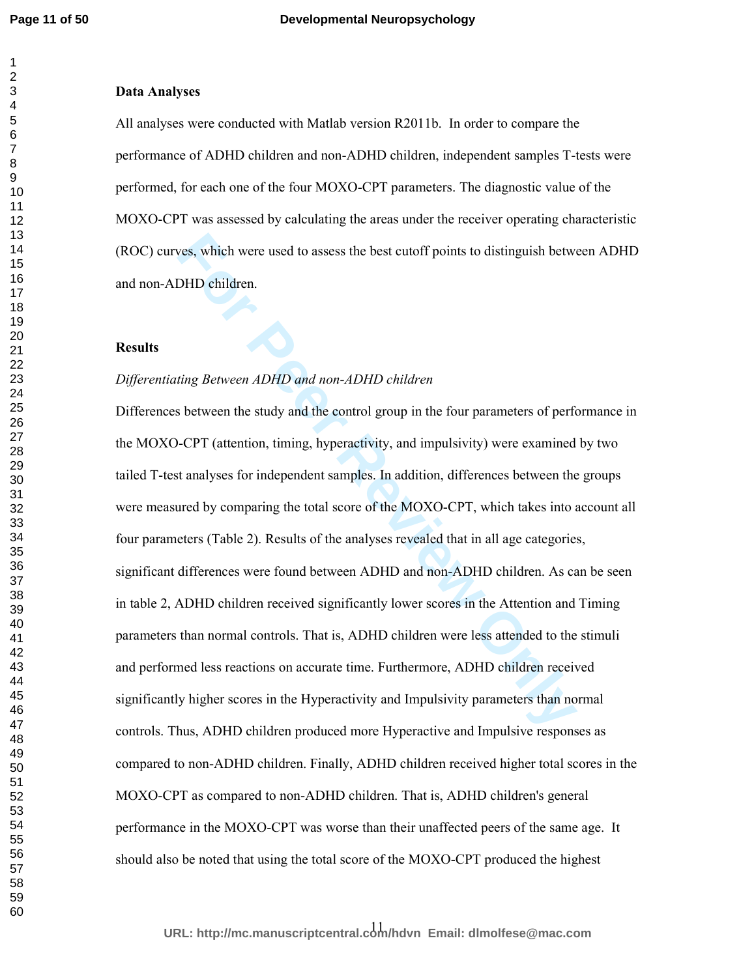# **Data Analyses**

All analyses were conducted with Matlab version R2011b. In order to compare the performance of ADHD children and non-ADHD children, independent samples T-tests were performed, for each one of the four MOXO-CPT parameters. The diagnostic value of the MOXO-CPT was assessed by calculating the areas under the receiver operating characteristic (ROC) curves, which were used to assess the best cutoff points to distinguish between ADHD and non-ADHD children.

#### **Results**

# *Differentiating Between ADHD and non-ADHD children*

**For Perront II** and the Hyperactivity and III and the Nuslem Schementian and the SADHD children DHD children.<br> **For Peer ADHD** and non-ADHD children<br> **For Peer CPT** (attention, timing, hyperactivity, and impulsivity) were Differences between the study and the control group in the four parameters of performance in the MOXO-CPT (attention, timing, hyperactivity, and impulsivity) were examined by two tailed T-test analyses for independent samples. In addition, differences between the groups were measured by comparing the total score of the MOXO-CPT, which takes into account all four parameters (Table 2). Results of the analyses revealed that in all age categories, significant differences were found between ADHD and non-ADHD children. As can be seen in table 2, ADHD children received significantly lower scores in the Attention and Timing parameters than normal controls. That is, ADHD children were less attended to the stimuli and performed less reactions on accurate time. Furthermore, ADHD children received significantly higher scores in the Hyperactivity and Impulsivity parameters than normal controls. Thus, ADHD children produced more Hyperactive and Impulsive responses as compared to non-ADHD children. Finally, ADHD children received higher total scores in the MOXO-CPT as compared to non-ADHD children. That is, ADHD children's general performance in the MOXO-CPT was worse than their unaffected peers of the same age. It should also be noted that using the total score of the MOXO-CPT produced the highest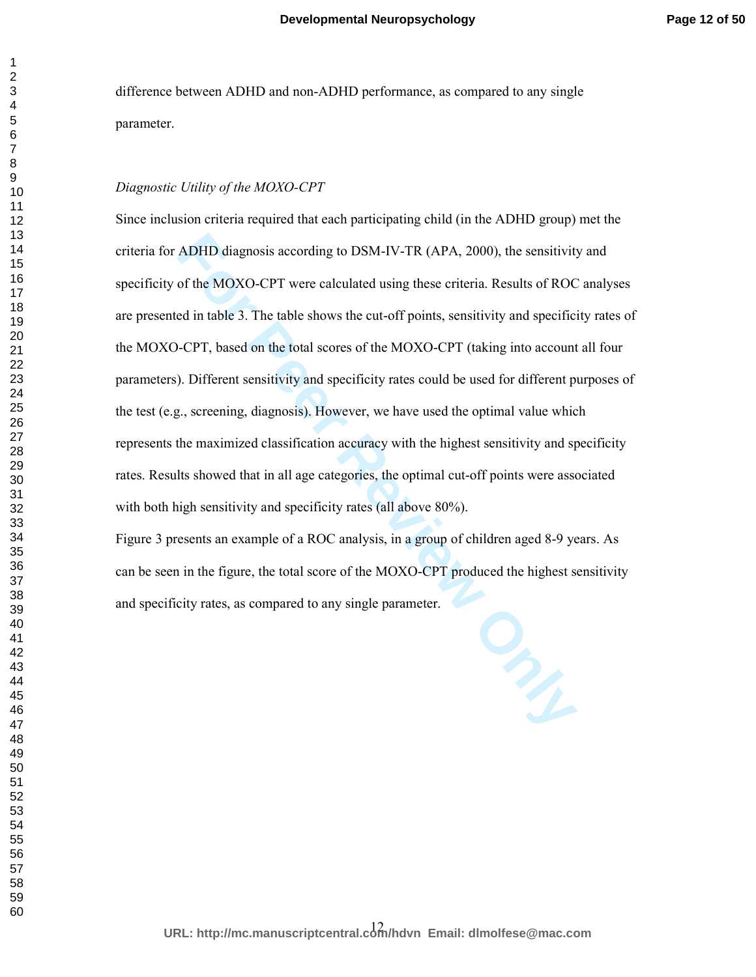difference between ADHD and non-ADHD performance, as compared to any single parameter.

# *Diagnostic Utility of the MOXO-CPT*

ADHD diagnosis according to DSM-IV-TR (APA, 2000), the sensitivity<br>of the MOXO-CPT were calculated using these criteria. Results of ROC<br>ed in table 3. The table shows the cut-off points, sensitivity and specific<br>-CPT, base Since inclusion criteria required that each participating child (in the ADHD group) met the criteria for ADHD diagnosis according to DSM-IV-TR (APA, 2000), the sensitivity and specificity of the MOXO-CPT were calculated using these criteria. Results of ROC analyses are presented in table 3. The table shows the cut-off points, sensitivity and specificity rates of the MOXO-CPT, based on the total scores of the MOXO-CPT (taking into account all four parameters). Different sensitivity and specificity rates could be used for different purposes of the test (e.g., screening, diagnosis). However, we have used the optimal value which represents the maximized classification accuracy with the highest sensitivity and specificity rates. Results showed that in all age categories, the optimal cut-off points were associated with both high sensitivity and specificity rates (all above 80%).

Figure 3 presents an example of a ROC analysis, in a group of children aged 8-9 years. As can be seen in the figure, the total score of the MOXO-CPT produced the highest sensitivity and specificity rates, as compared to any single parameter.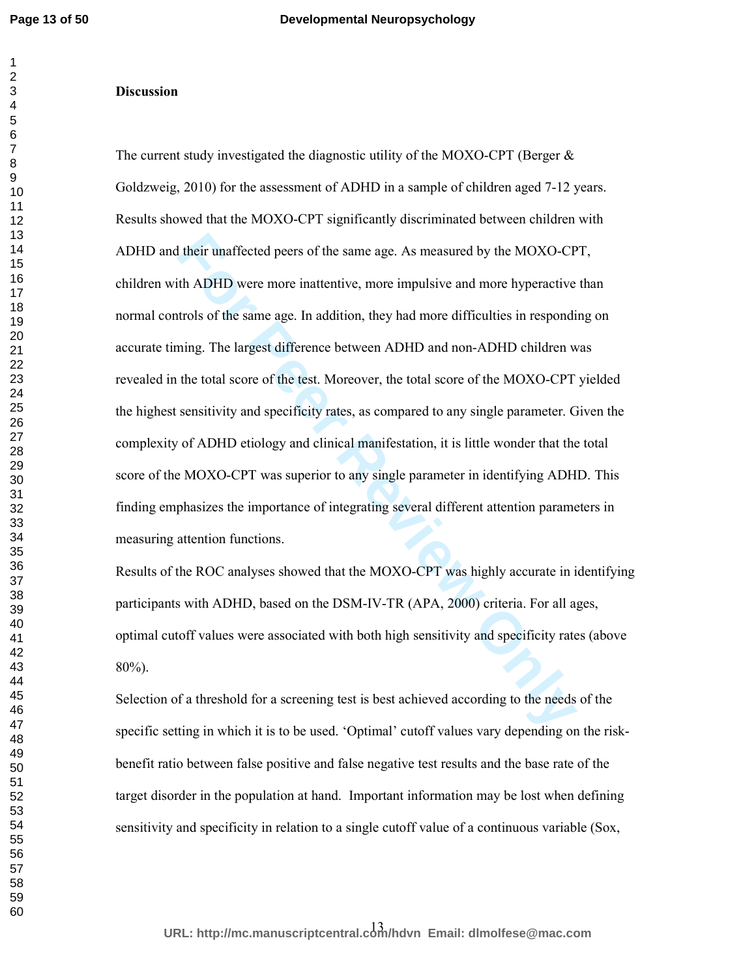#### **Discussion**

If their unaffected peers of the same age. As measured by the MOXO-CP<br>th ADHD were more inattentive, more impulsive and more hyperactive<br>trols of the same age. In addition, they had more difficulties in responding.<br>The lar The current study investigated the diagnostic utility of the MOXO-CPT (Berger  $\&$ Goldzweig, 2010) for the assessment of ADHD in a sample of children aged 7-12 years. Results showed that the MOXO-CPT significantly discriminated between children with ADHD and their unaffected peers of the same age. As measured by the MOXO-CPT, children with ADHD were more inattentive, more impulsive and more hyperactive than normal controls of the same age. In addition, they had more difficulties in responding on accurate timing. The largest difference between ADHD and non-ADHD children was revealed in the total score of the test. Moreover, the total score of the MOXO-CPT yielded the highest sensitivity and specificity rates, as compared to any single parameter. Given the complexity of ADHD etiology and clinical manifestation, it is little wonder that the total score of the MOXO-CPT was superior to any single parameter in identifying ADHD. This finding emphasizes the importance of integrating several different attention parameters in measuring attention functions.

Results of the ROC analyses showed that the MOXO-CPT was highly accurate in identifying participants with ADHD, based on the DSM-IV-TR (APA, 2000) criteria. For all ages, optimal cutoff values were associated with both high sensitivity and specificity rates (above 80%).

Selection of a threshold for a screening test is best achieved according to the needs of the specific setting in which it is to be used. 'Optimal' cutoff values vary depending on the riskbenefit ratio between false positive and false negative test results and the base rate of the target disorder in the population at hand. Important information may be lost when defining sensitivity and specificity in relation to a single cutoff value of a continuous variable (Sox,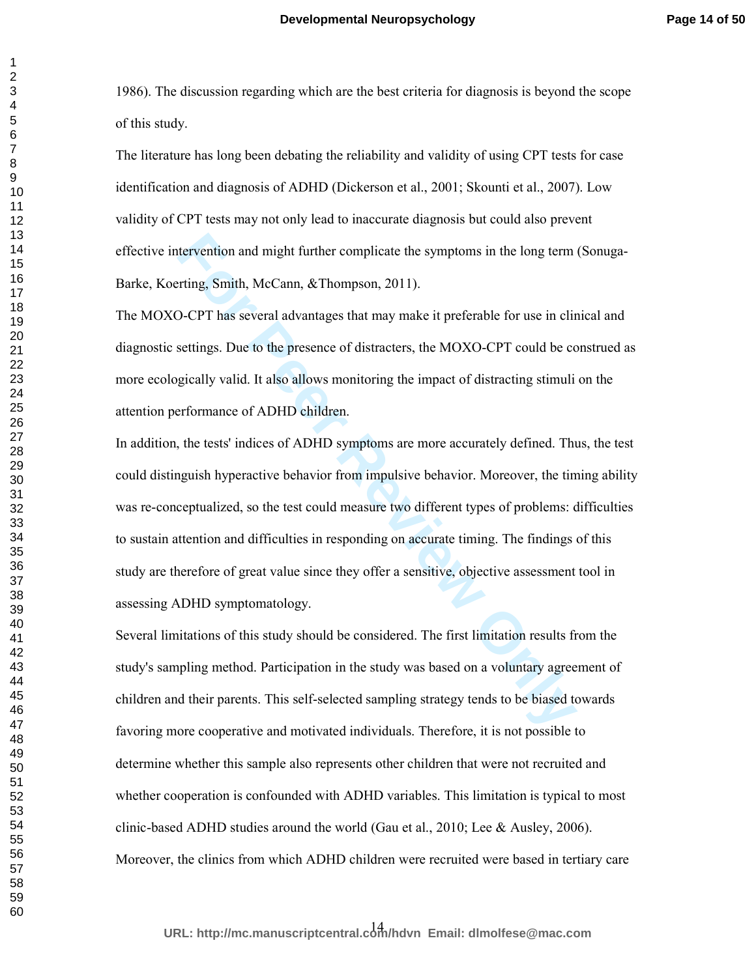1986). The discussion regarding which are the best criteria for diagnosis is beyond the scope of this study.

The literature has long been debating the reliability and validity of using CPT tests for case identification and diagnosis of ADHD (Dickerson et al., 2001; Skounti et al., 2007). Low validity of CPT tests may not only lead to inaccurate diagnosis but could also prevent effective intervention and might further complicate the symptoms in the long term (Sonuga-Barke, Koerting, Smith, McCann, &Thompson, 2011).

The MOXO-CPT has several advantages that may make it preferable for use in clinical and diagnostic settings. Due to the presence of distracters, the MOXO-CPT could be construed as more ecologically valid. It also allows monitoring the impact of distracting stimuli on the attention performance of ADHD children.

retrievention and might further complicate the symptoms in the long term<br>
Fiting, Smith, McCann, &Thompson, 2011).<br>
D-CPT has several advantages that may make it preferable for use in clin<br>
For PT has several advantages th In addition, the tests' indices of ADHD symptoms are more accurately defined. Thus, the test could distinguish hyperactive behavior from impulsive behavior. Moreover, the timing ability was re-conceptualized, so the test could measure two different types of problems: difficulties to sustain attention and difficulties in responding on accurate timing. The findings of this study are therefore of great value since they offer a sensitive, objective assessment tool in assessing ADHD symptomatology.

Several limitations of this study should be considered. The first limitation results from the study's sampling method. Participation in the study was based on a voluntary agreement of children and their parents. This self-selected sampling strategy tends to be biased towards favoring more cooperative and motivated individuals. Therefore, it is not possible to determine whether this sample also represents other children that were not recruited and whether cooperation is confounded with ADHD variables. This limitation is typical to most clinic-based ADHD studies around the world (Gau et al., 2010; Lee & Ausley, 2006). Moreover, the clinics from which ADHD children were recruited were based in tertiary care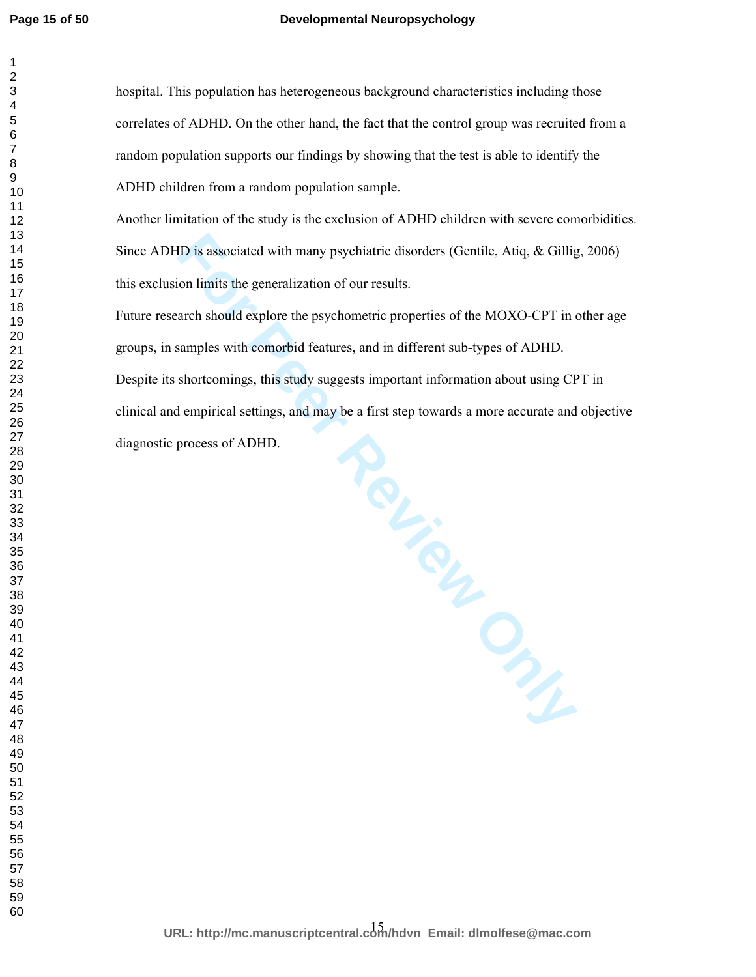# **Developmental Neuropsychology**

hospital. This population has heterogeneous background characteristics including those correlates of ADHD. On the other hand, the fact that the control group was recruited from a random population supports our findings by showing that the test is able to identify the ADHD children from a random population sample.

Another limitation of the study is the exclusion of ADHD children with severe comorbidities. Since ADHD is associated with many psychiatric disorders (Gentile, Atiq, & Gillig, 2006) this exclusion limits the generalization of our results.

Future research should explore the psychometric properties of the MOXO-CPT in other age groups, in samples with comorbid features, and in different sub-types of ADHD. Despite its shortcomings, this study suggests important information about using CPT in clinical and empirical settings, and may be a first step towards a more accurate and objective diagnostic process of ADHD.

A<br>
For Peer a first sure,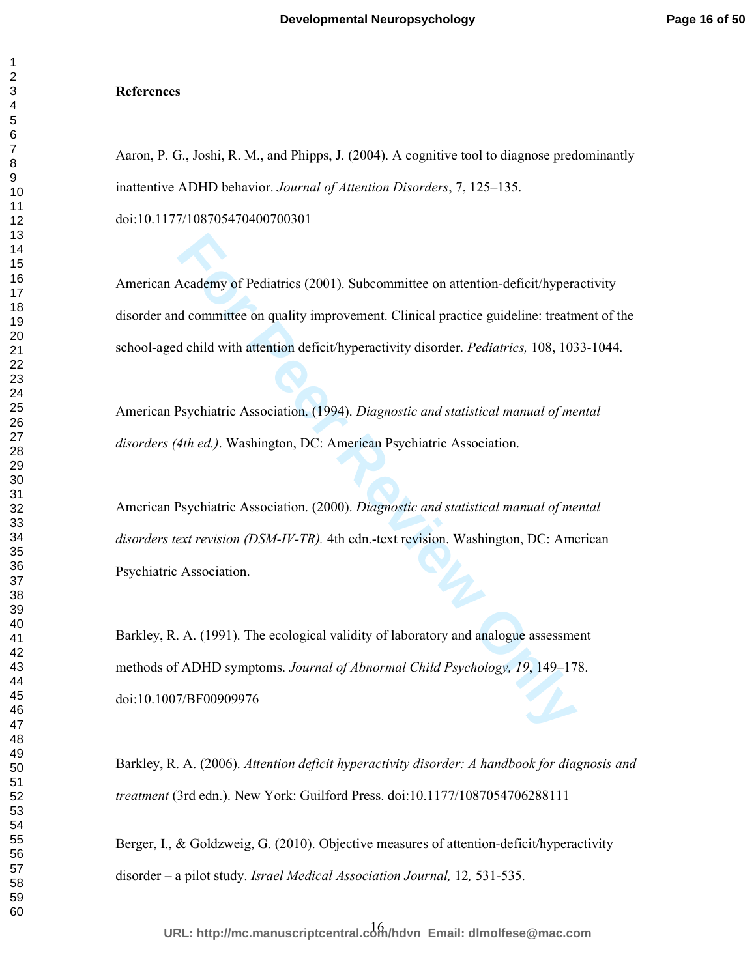#### **References**

Aaron, P. G., Joshi, R. M., and Phipps, J. (2004). A cognitive tool to diagnose predominantly inattentive ADHD behavior. *Journal of Attention Disorders*, 7, 125–135.

doi:10.1177/108705470400700301

American Academy of Pediatrics (2001). Subcommittee on attention-deficit/hyperactivity disorder and committee on quality improvement. Clinical practice guideline: treatment of the school-aged child with attention deficit/hyperactivity disorder. *Pediatrics,* 108, 1033-1044.

American Psychiatric Association. (1994). *Diagnostic and statistical manual of mental disorders (4th ed.)*. Washington, DC: American Psychiatric Association.

Academy of Pediatrics (2001). Subcommittee on attention-deficit/hyperal committee on quality improvement. Clinical practice guideline: treatry definited with attention deficit/hyperactivity disorder. *Pediatrics*, 108, 103 American Psychiatric Association. (2000). *Diagnostic and statistical manual of mental disorders text revision (DSM-IV-TR).* 4th edn.-text revision. Washington, DC: American Psychiatric Association.

Barkley, R. A. (1991). The ecological validity of laboratory and analogue assessment methods of ADHD symptoms. *Journal of Abnormal Child Psychology, 19*, 149–178. doi:10.1007/BF00909976

Barkley, R. A. (2006). *Attention deficit hyperactivity disorder: A handbook for diagnosis and treatment* (3rd edn.). New York: Guilford Press. doi:10.1177/1087054706288111

Berger, I., & Goldzweig, G. (2010). Objective measures of attention-deficit/hyperactivity disorder – a pilot study. *Israel Medical Association Journal,* 12*,* 531-535.

16 **URL: http://mc.manuscriptcentral.com/hdvn Email: dlmolfese@mac.com**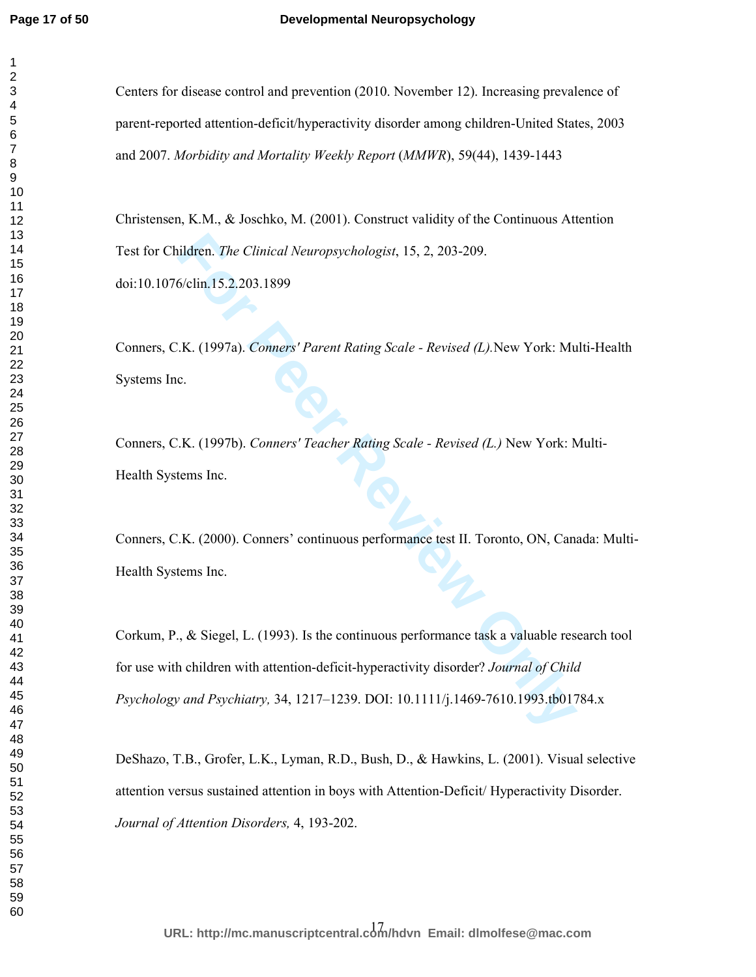#### **Developmental Neuropsychology**

Centers for disease control and prevention (2010. November 12). Increasing prevalence of parent-reported attention-deficit/hyperactivity disorder among children-United States, 2003 and 2007. *Morbidity and Mortality Weekly Report* (*MMWR*), 59(44), 1439-1443

Christensen, K.M., & Joschko, M. (2001). Construct validity of the Continuous Attention Test for Children. *The Clinical Neuropsychologist*, 15, 2, 203-209. doi:10.1076/clin.15.2.203.1899

Conners, C.K. (1997a). *Conners' Parent Rating Scale - Revised (L).*New York: Multi-Health Systems Inc.

Conners, C.K. (1997b). *Conners' Teacher Rating Scale - Revised (L.)* New York: Multi-Health Systems Inc.

Conners, C.K. (2000). Conners' continuous performance test II. Toronto, ON, Canada: Multi-Health Systems Inc.

ildren. *The Clinical Neuropsychologist*, 15, 2, 203-209.<br>
6/clin.15.2.203.1899<br>
F.K. (1997a). *Conners' Parent Rating Scale - Revised (L)*. New York: Mu<br>
c.<br>
F.K. (1997b). *Conners' Teacher Rating Scale - Revised (L.)* Ne Corkum, P., & Siegel, L. (1993). Is the continuous performance task a valuable research tool for use with children with attention-deficit-hyperactivity disorder? *Journal of Child Psychology and Psychiatry,* 34, 1217–1239. DOI: 10.1111/j.1469-7610.1993.tb01784.x

DeShazo, T.B., Grofer, L.K., Lyman, R.D., Bush, D., & Hawkins, L. (2001). Visual selective attention versus sustained attention in boys with Attention-Deficit/ Hyperactivity Disorder. *Journal of Attention Disorders,* 4, 193-202.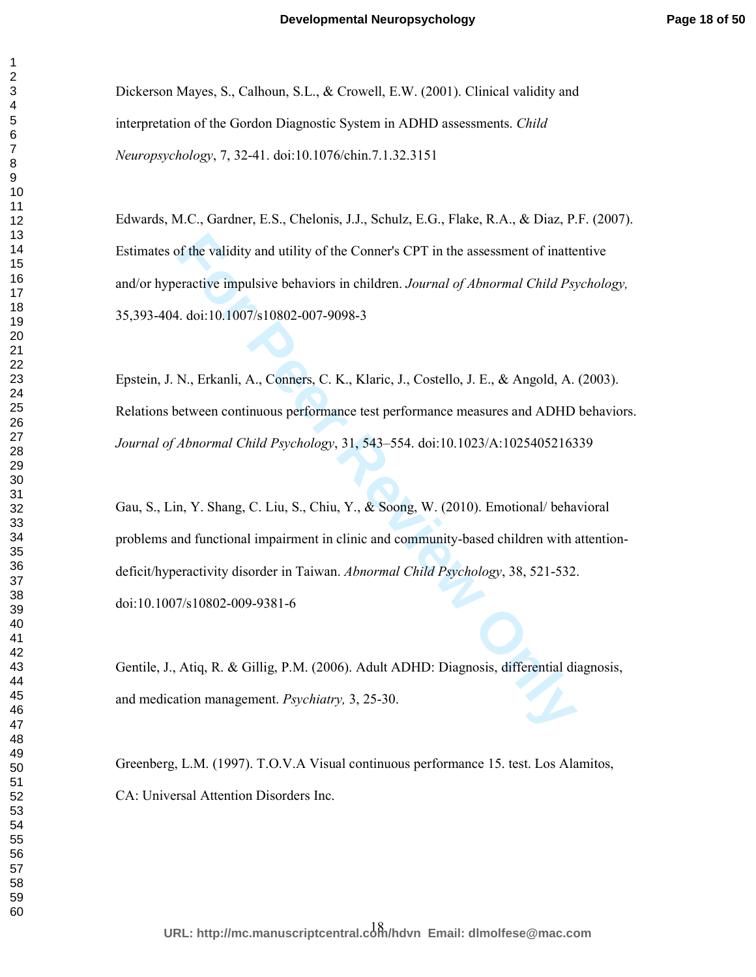Dickerson Mayes, S., Calhoun, S.L., & Crowell, E.W. (2001). Clinical validity and interpretation of the Gordon Diagnostic System in ADHD assessments. *Child Neuropsychology*, 7, 32-41. doi:10.1076/chin.7.1.32.3151

Edwards, M.C., Gardner, E.S., Chelonis, J.J., Schulz, E.G., Flake, R.A., & Diaz, P.F. (2007). Estimates of the validity and utility of the Conner's CPT in the assessment of inattentive and/or hyperactive impulsive behaviors in children. *Journal of Abnormal Child Psychology,*  35,393-404. doi:10.1007/s10802-007-9098-3

Epstein, J. N., Erkanli, A., Conners, C. K., Klaric, J., Costello, J. E., & Angold, A. (2003). Relations between continuous performance test performance measures and ADHD behaviors. *Journal of Abnormal Child Psychology*, 31, 543–554. doi:10.1023/A:1025405216339

of the validity and utility of the Conner's CPT in the assessment of inatteractive impulsive behaviors in children. *Journal of Abnormal Child Psy*, al. doi:10.1007/s10802-007-9098-3<br>
N., Erkanli, A., Conners, C. K., Klari Gau, S., Lin, Y. Shang, C. Liu, S., Chiu, Y., & Soong, W. (2010). Emotional/ behavioral problems and functional impairment in clinic and community-based children with attentiondeficit/hyperactivity disorder in Taiwan. *Abnormal Child Psychology*, 38, 521-532. doi:10.1007/s10802-009-9381-6

Gentile, J., Atiq, R. & Gillig, P.M. (2006). Adult ADHD: Diagnosis, differential diagnosis, and medication management. *Psychiatry,* 3, 25-30.

Greenberg, L.M. (1997). T.O.V.A Visual continuous performance 15. test. Los Alamitos, CA: Universal Attention Disorders Inc.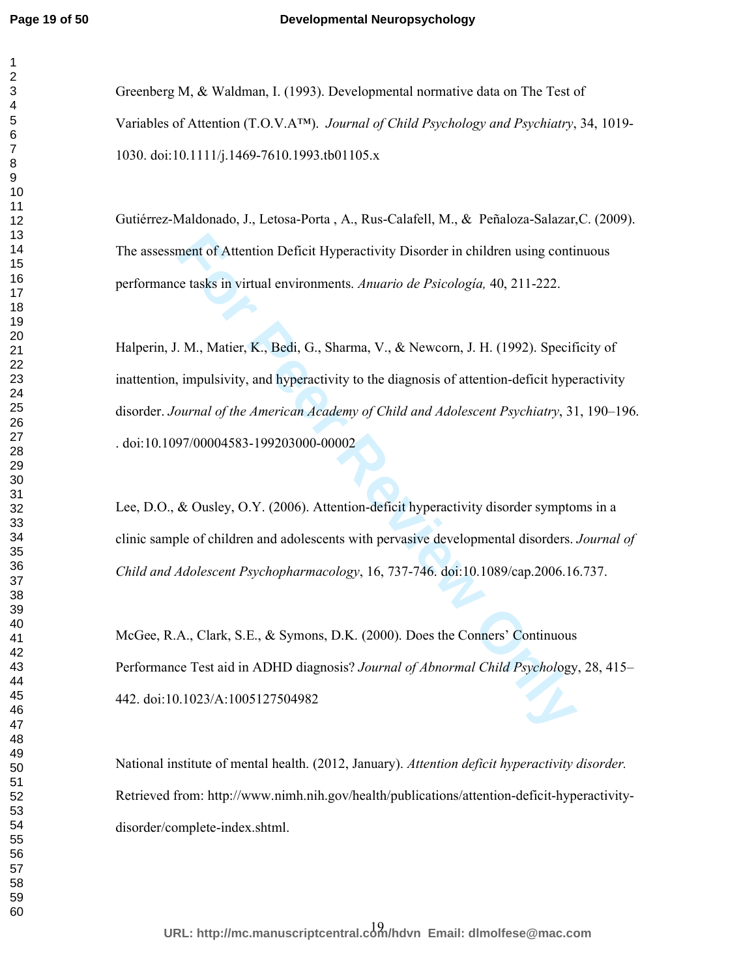### **Developmental Neuropsychology**

Greenberg M, & Waldman, I. (1993). Developmental normative data on The Test of Variables of Attention (T.O.V.A™). *Journal of Child Psychology and Psychiatry*, 34, 1019- 1030. doi:10.1111/j.1469-7610.1993.tb01105.x

Gutiérrez-Maldonado, J., Letosa-Porta , A., Rus-Calafell, M., & Peñaloza-Salazar,C. (2009). The assessment of Attention Deficit Hyperactivity Disorder in children using continuous performance tasks in virtual environments. *Anuario de Psicología,* 40, 211-222.

ment of Attention Deficit Hyperactivity Disorder in children using contic te tasks in virtual environments. *Anuario de Psicologia*, 40, 211-222.<br> **For Peer Review Allen Exercises** Anuario de Psicologia, 40, 211-222.<br> **For** Halperin, J. M., Matier, K., Bedi, G., Sharma, V., & Newcorn, J. H. (1992). Specificity of inattention, impulsivity, and hyperactivity to the diagnosis of attention-deficit hyperactivity disorder. *Journal of the American Academy of Child and Adolescent Psychiatry*, 31, 190–196. . doi:10.1097/00004583-199203000-00002

Lee, D.O., & Ousley, O.Y. (2006). Attention-deficit hyperactivity disorder symptoms in a clinic sample of children and adolescents with pervasive developmental disorders. *Journal of Child and Adolescent Psychopharmacology*, 16, 737-746. doi:10.1089/cap.2006.16.737.

McGee, R.A., Clark, S.E., & Symons, D.K. (2000). Does the Conners' Continuous Performance Test aid in ADHD diagnosis? *Journal of Abnormal Child Psychol*ogy, 28, 415– 442. doi:10.1023/A:1005127504982

National institute of mental health. (2012, January). *Attention deficit hyperactivity disorder.* Retrieved from: http://www.nimh.nih.gov/health/publications/attention-deficit-hyperactivitydisorder/complete-index.shtml.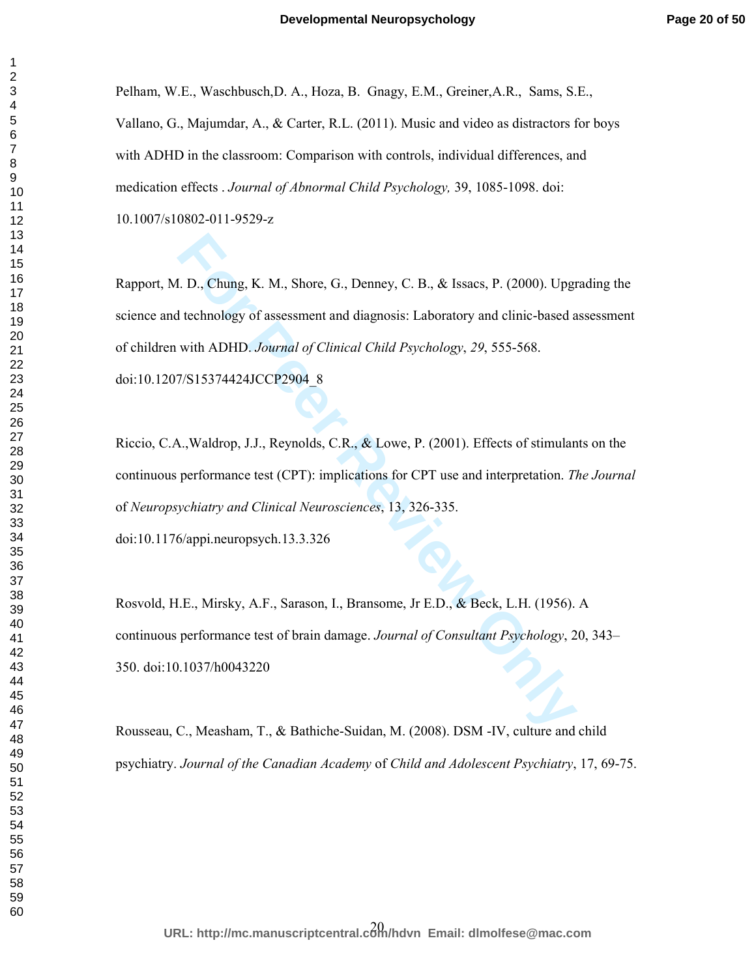Pelham, W.E., Waschbusch,D. A., Hoza, B. Gnagy, E.M., Greiner,A.R., Sams, S.E., Vallano, G., Majumdar, A., & Carter, R.L. (2011). Music and video as distractors for boys with ADHD in the classroom: Comparison with controls, individual differences, and medication effects . *Journal of Abnormal Child Psychology,* 39, 1085-1098. doi:

10.1007/s10802-011-9529-z

**For Perry Allen II. Shore, G., Denney, C. B., & Issaes, P. (2000). Upgt**<br> **For Perry Alternation** of Clinical Child Psychology, 29, 555-568.<br> **For PEER Review Only Alternation** of Clinical Child Psychology, 29, 555-568.<br> Rapport, M. D., Chung, K. M., Shore, G., Denney, C. B., & Issacs, P. (2000). Upgrading the science and technology of assessment and diagnosis: Laboratory and clinic-based assessment of children with ADHD. *Journal of Clinical Child Psychology*, *29*, 555-568. doi:10.1207/S15374424JCCP2904\_8

Riccio, C.A.,Waldrop, J.J., Reynolds, C.R., & Lowe, P. (2001). Effects of stimulants on the continuous performance test (CPT): implications for CPT use and interpretation. *The Journal* of *Neuropsychiatry and Clinical Neurosciences*, 13, 326-335. doi:10.1176/appi.neuropsych.13.3.326

Rosvold, H.E., Mirsky, A.F., Sarason, I., Bransome, Jr E.D., & Beck, L.H. (1956). A continuous performance test of brain damage. *Journal of Consultant Psychology*, 20, 343– 350. doi:10.1037/h0043220

Rousseau, C., Measham, T., & Bathiche-Suidan, M. (2008). DSM -IV, culture and child psychiatry. *Journal of the Canadian Academy* of *Child and Adolescent Psychiatry*, 17, 69-75.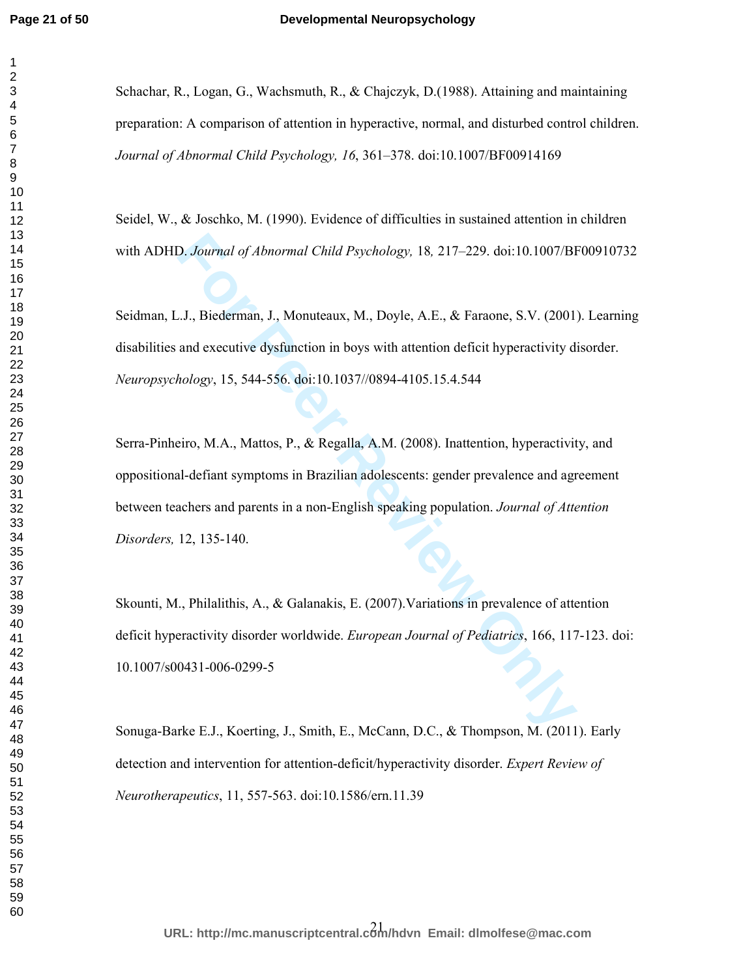## **Developmental Neuropsychology**

Schachar, R., Logan, G., Wachsmuth, R., & Chajczyk, D.(1988). Attaining and maintaining preparation: A comparison of attention in hyperactive, normal, and disturbed control children. *Journal of Abnormal Child Psychology, 16*, 361–378. doi:10.1007/BF00914169

Seidel, W., & Joschko, M. (1990). Evidence of difficulties in sustained attention in children with ADHD. *Journal of Abnormal Child Psychology,* 18*,* 217–229. doi:10.1007/BF00910732

Seidman, L.J., Biederman, J., Monuteaux, M., Doyle, A.E., & Faraone, S.V. (2001). Learning disabilities and executive dysfunction in boys with attention deficit hyperactivity disorder. *Neuropsychology*, 15, 544-556. doi:10.1037//0894-4105.15.4.544

**Following Controllary Admonmand Child Psychology, 18, 217–229.** doi:10.1007/BI<br> *For Peerman, J., Monuteaux, M., Doyle, A.E., & Faraone, S.V.* (2001)<br>
and executive dysfunction in boys with attention deficit hyperactivity Serra-Pinheiro, M.A., Mattos, P., & Regalla, A.M. (2008). Inattention, hyperactivity, and oppositional-defiant symptoms in Brazilian adolescents: gender prevalence and agreement between teachers and parents in a non-English speaking population. *Journal of Attention Disorders,* 12, 135-140.

Skounti, M., Philalithis, A., & Galanakis, E. (2007).Variations in prevalence of attention deficit hyperactivity disorder worldwide. *European Journal of Pediatrics*, 166, 117-123. doi: 10.1007/s00431-006-0299-5

Sonuga-Barke E.J., Koerting, J., Smith, E., McCann, D.C., & Thompson, M. (2011). Early detection and intervention for attention-deficit/hyperactivity disorder. *Expert Review of Neurotherapeutics*, 11, 557-563. doi:10.1586/ern.11.39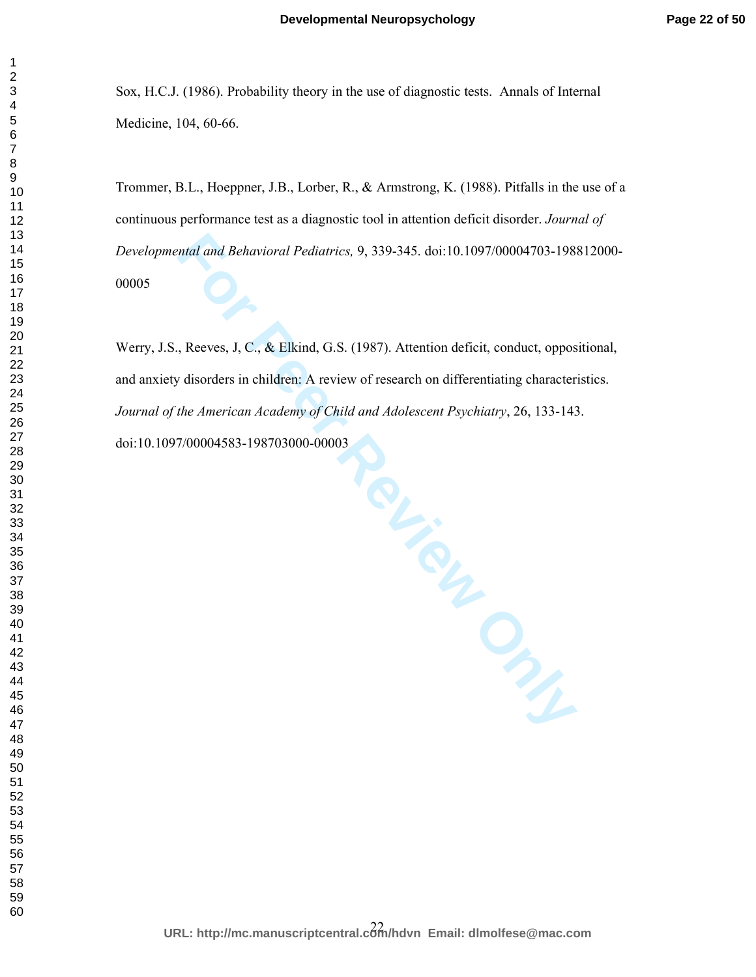Sox, H.C.J. (1986). Probability theory in the use of diagnostic tests. Annals of Internal Medicine, 104, 60-66.

Trommer, B.L., Hoeppner, J.B., Lorber, R., & Armstrong, K. (1988). Pitfalls in the use of a continuous performance test as a diagnostic tool in attention deficit disorder. *Journal of Developmental and Behavioral Pediatrics,* 9, 339-345. doi:10.1097/00004703-198812000- 

of Child and .<br> **CLANDREVER** Werry, J.S., Reeves, J, C., & Elkind, G.S. (1987). Attention deficit, conduct, oppositional, and anxiety disorders in children: A review of research on differentiating characteristics. *Journal of the American Academy of Child and Adolescent Psychiatry*, 26, 133-143. doi:10.1097/00004583-198703000-00003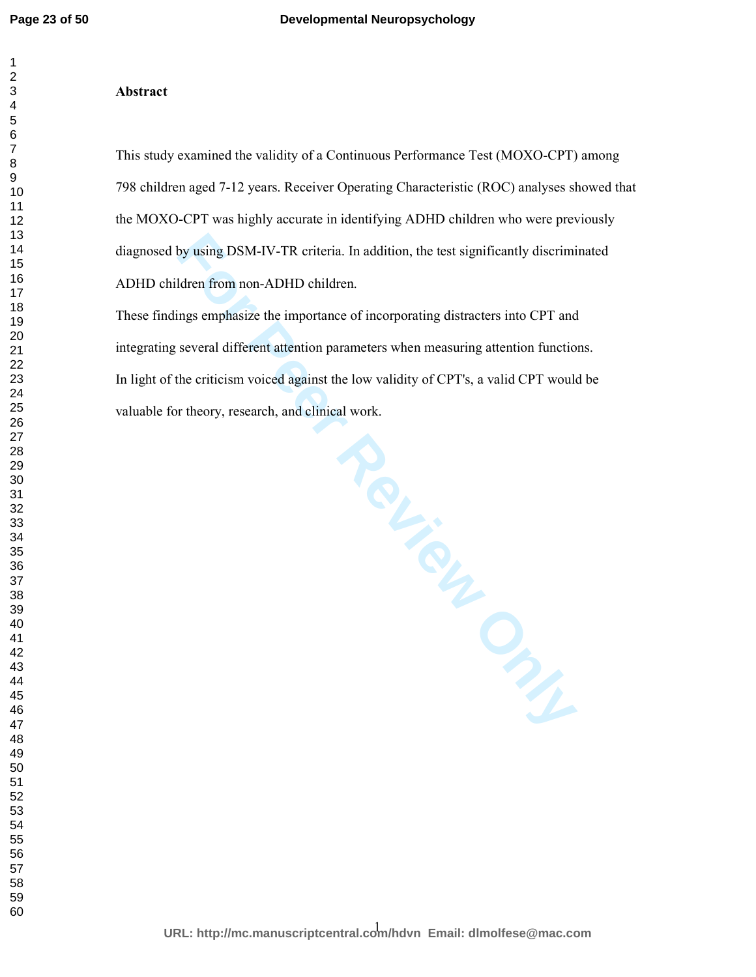#### **Abstract**

This study examined the validity of a Continuous Performance Test (MOXO-CPT) among 798 children aged 7-12 years. Receiver Operating Characteristic (ROC) analyses showed that the MOXO-CPT was highly accurate in identifying ADHD children who were previously diagnosed by using DSM-IV-TR criteria. In addition, the test significantly discriminated ADHD children from non-ADHD children.

These findings emphasize the importance of incorporating distracters into CPT and integrating several different attention parameters when measuring attention functions. In light of the criticism voiced against the low validity of CPT's, a valid CPT would be valuable for theory, research, and clinical work.

**Felicient Dysections**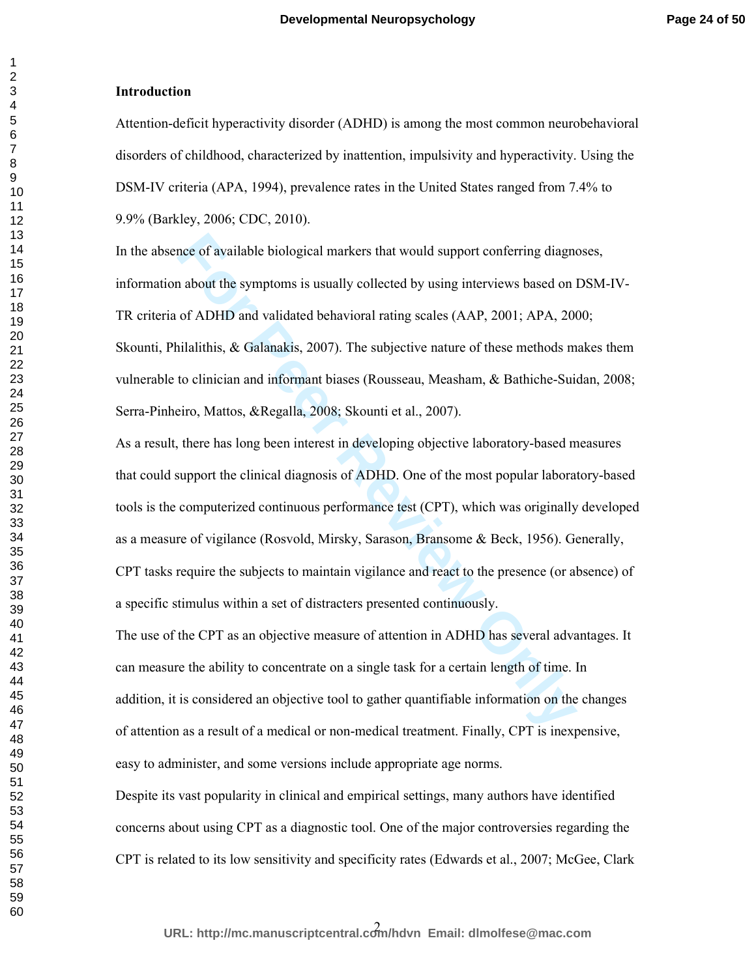# **Introduction**

Attention-deficit hyperactivity disorder (ADHD) is among the most common neurobehavioral disorders of childhood, characterized by inattention, impulsivity and hyperactivity. Using the DSM-IV criteria (APA, 1994), prevalence rates in the United States ranged from 7.4% to 9.9% (Barkley, 2006; CDC, 2010).

nce of available biological markers that would support conferring diagno<br>a about the symptoms is usually collected by using interviews based on 1<br>of ADHD and validated behavioral rating scales (AAP, 2001; APA, 200<br>iilalith In the absence of available biological markers that would support conferring diagnoses, information about the symptoms is usually collected by using interviews based on DSM-IV-TR criteria of ADHD and validated behavioral rating scales (AAP, 2001; APA, 2000; Skounti, Philalithis, & Galanakis, 2007). The subjective nature of these methods makes them vulnerable to clinician and informant biases (Rousseau, Measham, & Bathiche-Suidan, 2008; Serra-Pinheiro, Mattos, &Regalla, 2008; Skounti et al., 2007).

As a result, there has long been interest in developing objective laboratory-based measures that could support the clinical diagnosis of ADHD. One of the most popular laboratory-based tools is the computerized continuous performance test (CPT), which was originally developed as a measure of vigilance (Rosvold, Mirsky, Sarason, Bransome & Beck, 1956). Generally, CPT tasks require the subjects to maintain vigilance and react to the presence (or absence) of a specific stimulus within a set of distracters presented continuously.

The use of the CPT as an objective measure of attention in ADHD has several advantages. It can measure the ability to concentrate on a single task for a certain length of time. In addition, it is considered an objective tool to gather quantifiable information on the changes of attention as a result of a medical or non-medical treatment. Finally, CPT is inexpensive, easy to administer, and some versions include appropriate age norms.

Despite its vast popularity in clinical and empirical settings, many authors have identified concerns about using CPT as a diagnostic tool. One of the major controversies regarding the CPT is related to its low sensitivity and specificity rates (Edwards et al., 2007; McGee, Clark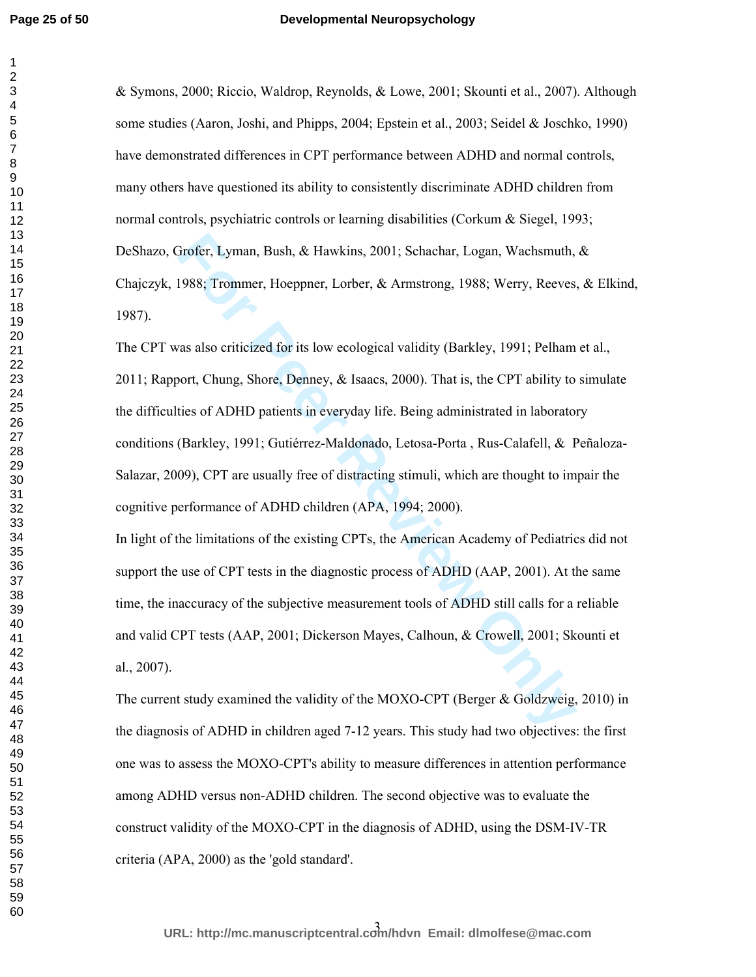## **Developmental Neuropsychology**

& Symons, 2000; Riccio, Waldrop, Reynolds, & Lowe, 2001; Skounti et al., 2007). Although some studies (Aaron, Joshi, and Phipps, 2004; Epstein et al., 2003; Seidel & Joschko, 1990) have demonstrated differences in CPT performance between ADHD and normal controls, many others have questioned its ability to consistently discriminate ADHD children from normal controls, psychiatric controls or learning disabilities (Corkum & Siegel, 1993; DeShazo, Grofer, Lyman, Bush, & Hawkins, 2001; Schachar, Logan, Wachsmuth, & Chajczyk, 1988; Trommer, Hoeppner, Lorber, & Armstrong, 1988; Werry, Reeves, & Elkind, 1987).

**Frofer, Lyman, Bush, & Hawkins, 2001; Schachar, Logan, Wachsmuth, 1988; Trommer, Hoeppner, Lorber, & Armstrong, 1988; Werry, Reeves as also criticized for its low ecological validity (Barkley, 1991; Pelham bort, Chung, Sh** The CPT was also criticized for its low ecological validity (Barkley, 1991; Pelham et al., 2011; Rapport, Chung, Shore, Denney, & Isaacs, 2000). That is, the CPT ability to simulate the difficulties of ADHD patients in everyday life. Being administrated in laboratory conditions (Barkley, 1991; Gutiérrez-Maldonado, Letosa-Porta , Rus-Calafell, & Peñaloza-Salazar, 2009), CPT are usually free of distracting stimuli, which are thought to impair the cognitive performance of ADHD children (APA, 1994; 2000).

In light of the limitations of the existing CPTs, the American Academy of Pediatrics did not support the use of CPT tests in the diagnostic process of ADHD (AAP, 2001). At the same time, the inaccuracy of the subjective measurement tools of ADHD still calls for a reliable and valid CPT tests (AAP, 2001; Dickerson Mayes, Calhoun, & Crowell, 2001; Skounti et al., 2007).

The current study examined the validity of the MOXO-CPT (Berger & Goldzweig, 2010) in the diagnosis of ADHD in children aged 7-12 years. This study had two objectives: the first one was to assess the MOXO-CPT's ability to measure differences in attention performance among ADHD versus non-ADHD children. The second objective was to evaluate the construct validity of the MOXO-CPT in the diagnosis of ADHD, using the DSM-IV-TR criteria (APA, 2000) as the 'gold standard'.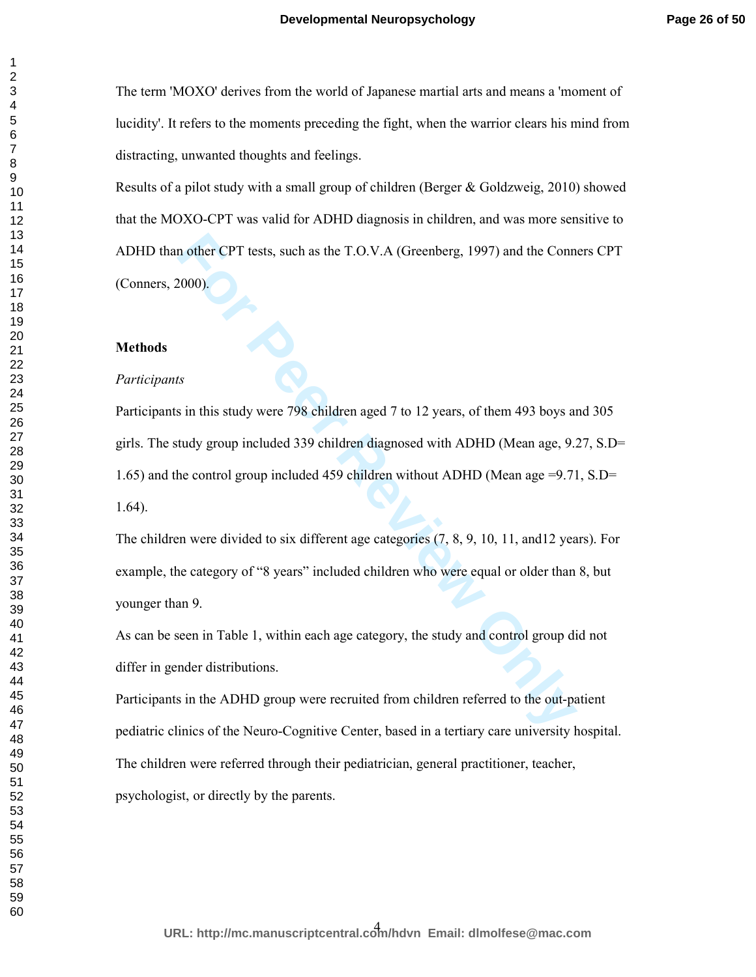The term 'MOXO' derives from the world of Japanese martial arts and means a 'moment of lucidity'. It refers to the moments preceding the fight, when the warrior clears his mind from distracting, unwanted thoughts and feelings.

Results of a pilot study with a small group of children (Berger & Goldzweig, 2010) showed that the MOXO-CPT was valid for ADHD diagnosis in children, and was more sensitive to ADHD than other CPT tests, such as the T.O.V.A (Greenberg, 1997) and the Conners CPT (Conners, 2000).

## **Methods**

# *Participants*

In other CPT tests, such as the T.O.V.A (Greenberg, 1997) and the Conn<br>
2000).<br> **For Peer Review Only 2012** to 12 years, of them 493 boys and<br>
tudy group included 339 children diagnosed with ADHD (Mean age, 9.2<br>
the contro Participants in this study were 798 children aged 7 to 12 years, of them 493 boys and 305 girls. The study group included 339 children diagnosed with ADHD (Mean age, 9.27, S.D= 1.65) and the control group included 459 children without ADHD (Mean age =9.71, S.D= 1.64).

The children were divided to six different age categories (7, 8, 9, 10, 11, and12 years). For example, the category of "8 years" included children who were equal or older than 8, but younger than 9.

As can be seen in Table 1, within each age category, the study and control group did not differ in gender distributions.

Participants in the ADHD group were recruited from children referred to the out-patient pediatric clinics of the Neuro-Cognitive Center, based in a tertiary care university hospital. The children were referred through their pediatrician, general practitioner, teacher, psychologist, or directly by the parents.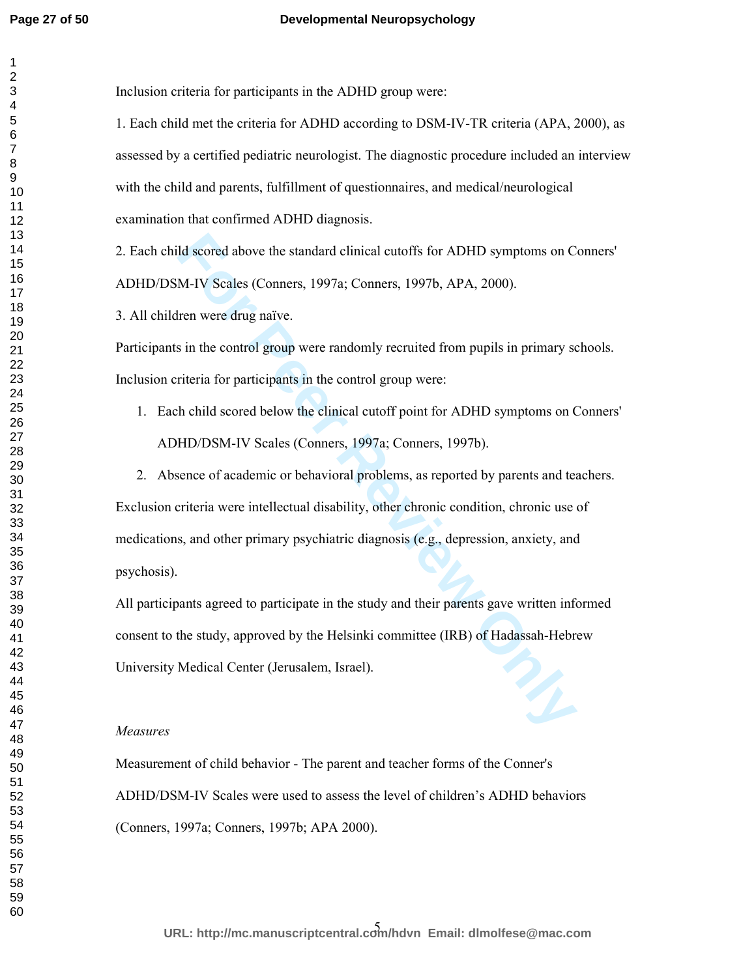# **Developmental Neuropsychology**

| Inclusion criteria for participants in the ADHD group were:                                   |
|-----------------------------------------------------------------------------------------------|
| 1. Each child met the criteria for ADHD according to DSM-IV-TR criteria (APA, 2000), as       |
| assessed by a certified pediatric neurologist. The diagnostic procedure included an interview |
| with the child and parents, fulfillment of questionnaires, and medical/neurological           |
| examination that confirmed ADHD diagnosis.                                                    |
| 2. Each child scored above the standard clinical cutoffs for ADHD symptoms on Conners'        |
| ADHD/DSM-IV Scales (Conners, 1997a; Conners, 1997b, APA, 2000).                               |
| 3. All children were drug naïve.                                                              |
| Participants in the control group were randomly recruited from pupils in primary schools.     |
| Inclusion criteria for participants in the control group were:                                |
| 1. Each child scored below the clinical cutoff point for ADHD symptoms on Conners'            |
| ADHD/DSM-IV Scales (Conners, 1997a; Conners, 1997b).                                          |
| 2. Absence of academic or behavioral problems, as reported by parents and teachers.           |
| Exclusion criteria were intellectual disability, other chronic condition, chronic use of      |
| medications, and other primary psychiatric diagnosis (e.g., depression, anxiety, and          |
| psychosis).                                                                                   |
| All participants agreed to participate in the study and their parents gave written informed   |
| consent to the study, approved by the Helsinki committee (IRB) of Hadassah-Hebrew             |
| University Medical Center (Jerusalem, Israel).                                                |
|                                                                                               |
| Measures                                                                                      |
| Measurement of child behavior - The parent and teacher forms of the Conner's                  |
| ADHD/DSM-IV Scales were used to assess the level of children's ADHD behaviors                 |
| (Conners, 1997a; Conners, 1997b; APA 2000).                                                   |
|                                                                                               |
|                                                                                               |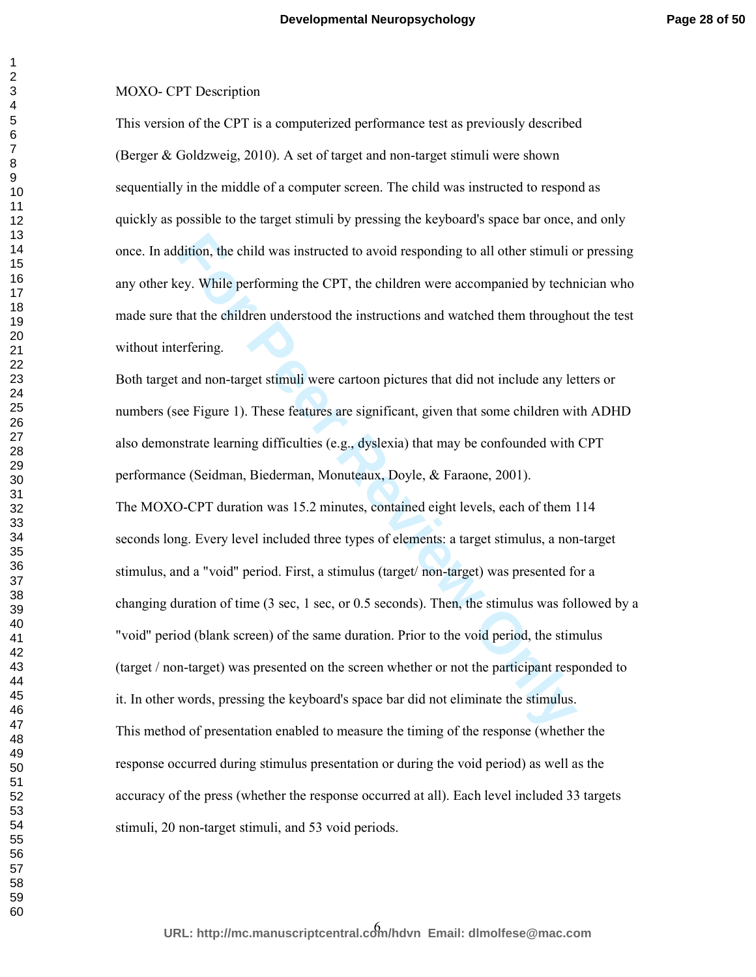# MOXO- CPT Description

This version of the CPT is a computerized performance test as previously described (Berger & Goldzweig, 2010). A set of target and non-target stimuli were shown sequentially in the middle of a computer screen. The child was instructed to respond as quickly as possible to the target stimuli by pressing the keyboard's space bar once, and only once. In addition, the child was instructed to avoid responding to all other stimuli or pressing any other key. While performing the CPT, the children were accompanied by technician who made sure that the children understood the instructions and watched them throughout the test without interfering.

dition, the child was instructed to avoid responding to all other stimuli of<br>ey. While performing the CPT, the children were accompanied by techn<br>that the children understood the instructions and watched them througho<br>erfe Both target and non-target stimuli were cartoon pictures that did not include any letters or numbers (see Figure 1). These features are significant, given that some children with ADHD also demonstrate learning difficulties (e.g., dyslexia) that may be confounded with CPT performance (Seidman, Biederman, Monuteaux, Doyle, & Faraone, 2001). The MOXO-CPT duration was 15.2 minutes, contained eight levels, each of them 114 seconds long. Every level included three types of elements: a target stimulus, a non-target stimulus, and a "void" period. First, a stimulus (target/ non-target) was presented for a changing duration of time (3 sec, 1 sec, or 0.5 seconds). Then, the stimulus was followed by a "void" period (blank screen) of the same duration. Prior to the void period, the stimulus (target / non-target) was presented on the screen whether or not the participant responded to it. In other words, pressing the keyboard's space bar did not eliminate the stimulus. This method of presentation enabled to measure the timing of the response (whether the response occurred during stimulus presentation or during the void period) as well as the accuracy of the press (whether the response occurred at all). Each level included 33 targets stimuli, 20 non-target stimuli, and 53 void periods.

6 **URL: http://mc.manuscriptcentral.com/hdvn Email: dlmolfese@mac.com**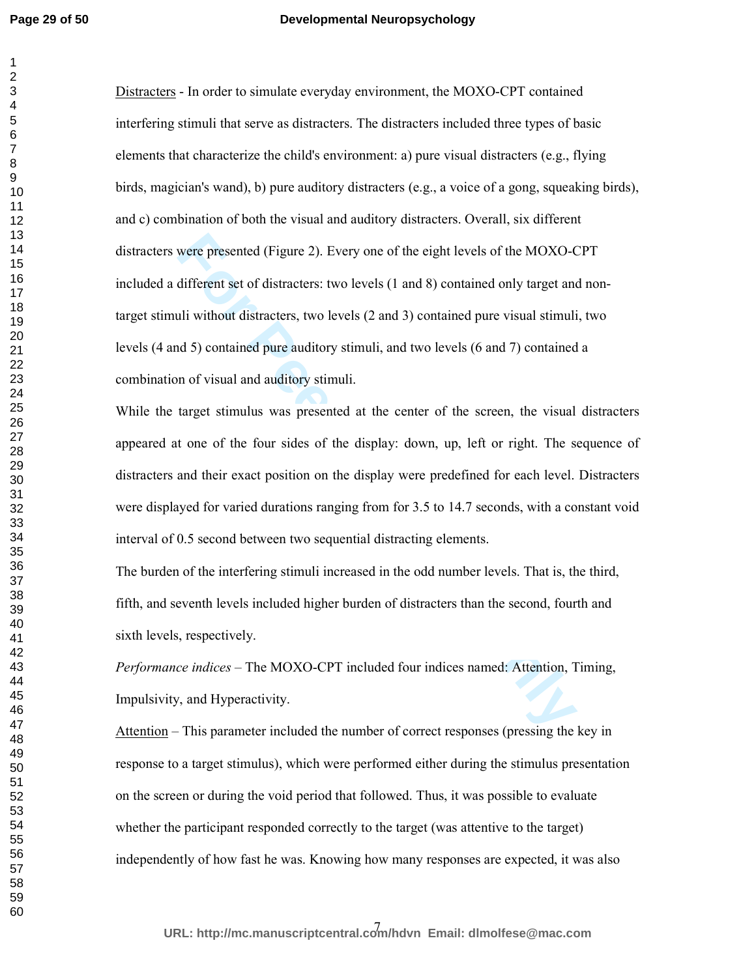### **Developmental Neuropsychology**

were presented (Figure 2). Every one of the eight levels of the MOXO-<br> **Kultificent set of distracters:** two levels (1 and 8) contained only target and<br> **Follow** distracters, two levels (2 and 3) contained only target and<br> Distracters - In order to simulate everyday environment, the MOXO-CPT contained interfering stimuli that serve as distracters. The distracters included three types of basic elements that characterize the child's environment: a) pure visual distracters (e.g., flying birds, magician's wand), b) pure auditory distracters (e.g., a voice of a gong, squeaking birds), and c) combination of both the visual and auditory distracters. Overall, six different distracters were presented (Figure 2). Every one of the eight levels of the MOXO-CPT included a different set of distracters: two levels (1 and 8) contained only target and nontarget stimuli without distracters, two levels (2 and 3) contained pure visual stimuli, two levels (4 and 5) contained pure auditory stimuli, and two levels (6 and 7) contained a combination of visual and auditory stimuli.

While the target stimulus was presented at the center of the screen, the visual distracters appeared at one of the four sides of the display: down, up, left or right. The sequence of distracters and their exact position on the display were predefined for each level. Distracters were displayed for varied durations ranging from for 3.5 to 14.7 seconds, with a constant void interval of 0.5 second between two sequential distracting elements.

The burden of the interfering stimuli increased in the odd number levels. That is, the third, fifth, and seventh levels included higher burden of distracters than the second, fourth and sixth levels, respectively.

*Performance indices* – The MOXO-CPT included four indices named: Attention, Timing, Impulsivity, and Hyperactivity.

Attention – This parameter included the number of correct responses (pressing the key in response to a target stimulus), which were performed either during the stimulus presentation on the screen or during the void period that followed. Thus, it was possible to evaluate whether the participant responded correctly to the target (was attentive to the target) independently of how fast he was. Knowing how many responses are expected, it was also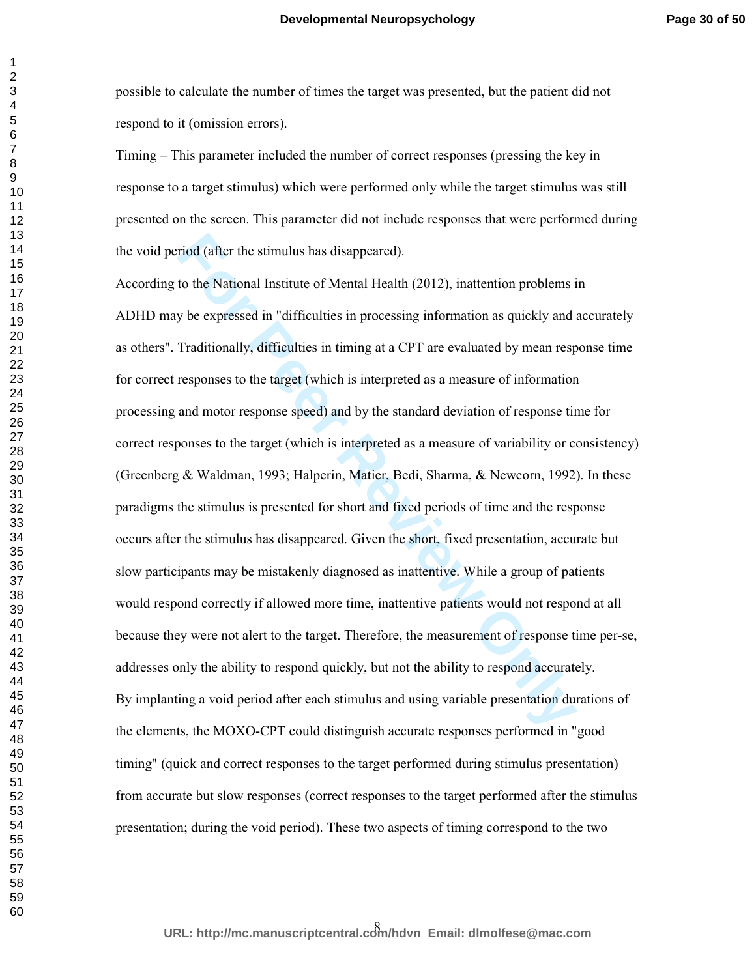possible to calculate the number of times the target was presented, but the patient did not respond to it (omission errors).

Timing – This parameter included the number of correct responses (pressing the key in response to a target stimulus) which were performed only while the target stimulus was still presented on the screen. This parameter did not include responses that were performed during the void period (after the stimulus has disappeared).

riod (after the stimulus has disappeared).<br>
to the National Institute of Mental Health (2012), inattention problems is<br>
y be expressed in "difficulties in processing information as quickly and in<br>
Traditionally, difficulti According to the National Institute of Mental Health (2012), inattention problems in ADHD may be expressed in "difficulties in processing information as quickly and accurately as others". Traditionally, difficulties in timing at a CPT are evaluated by mean response time for correct responses to the target (which is interpreted as a measure of information processing and motor response speed) and by the standard deviation of response time for correct responses to the target (which is interpreted as a measure of variability or consistency) (Greenberg & Waldman, 1993; Halperin, Matier, Bedi, Sharma, & Newcorn, 1992). In these paradigms the stimulus is presented for short and fixed periods of time and the response occurs after the stimulus has disappeared. Given the short, fixed presentation, accurate but slow participants may be mistakenly diagnosed as inattentive. While a group of patients would respond correctly if allowed more time, inattentive patients would not respond at all because they were not alert to the target. Therefore, the measurement of response time per-se, addresses only the ability to respond quickly, but not the ability to respond accurately. By implanting a void period after each stimulus and using variable presentation durations of the elements, the MOXO-CPT could distinguish accurate responses performed in "good timing" (quick and correct responses to the target performed during stimulus presentation) from accurate but slow responses (correct responses to the target performed after the stimulus presentation; during the void period). These two aspects of timing correspond to the two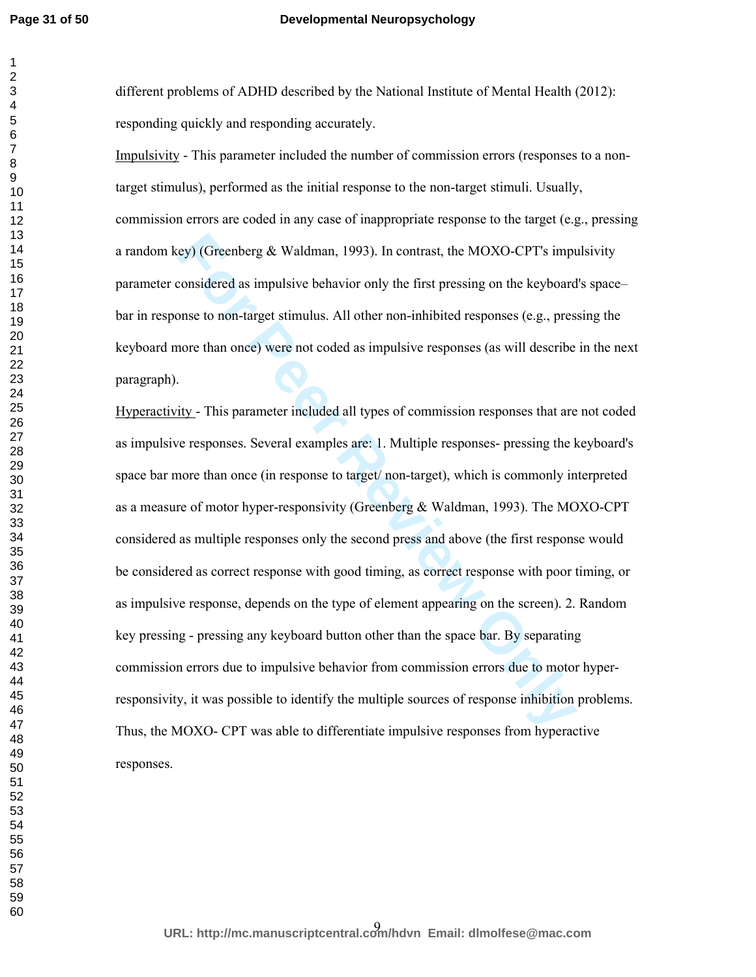#### **Developmental Neuropsychology**

different problems of ADHD described by the National Institute of Mental Health (2012): responding quickly and responding accurately.

Impulsivity - This parameter included the number of commission errors (responses to a nontarget stimulus), performed as the initial response to the non-target stimuli. Usually, commission errors are coded in any case of inappropriate response to the target (e.g., pressing a random key) (Greenberg  $& Waldman, 1993$ ). In contrast, the MOXO-CPT's impulsivity parameter considered as impulsive behavior only the first pressing on the keyboard's space– bar in response to non-target stimulus. All other non-inhibited responses (e.g., pressing the keyboard more than once) were not coded as impulsive responses (as will describe in the next paragraph).

**EXECUTE:** EXECT THE SURVEX SURVEY (Greenberg & Waldman, 1993). In contrast, the MOXO-CPT's imponsidered as impulsive behavior only the first pressing on the keyboard onset to non-target stimulus. All other non-inhibited r Hyperactivity - This parameter included all types of commission responses that are not coded as impulsive responses. Several examples are: 1. Multiple responses- pressing the keyboard's space bar more than once (in response to target/ non-target), which is commonly interpreted as a measure of motor hyper-responsivity (Greenberg & Waldman, 1993). The MOXO-CPT considered as multiple responses only the second press and above (the first response would be considered as correct response with good timing, as correct response with poor timing, or as impulsive response, depends on the type of element appearing on the screen). 2. Random key pressing - pressing any keyboard button other than the space bar. By separating commission errors due to impulsive behavior from commission errors due to motor hyperresponsivity, it was possible to identify the multiple sources of response inhibition problems. Thus, the MOXO- CPT was able to differentiate impulsive responses from hyperactive responses.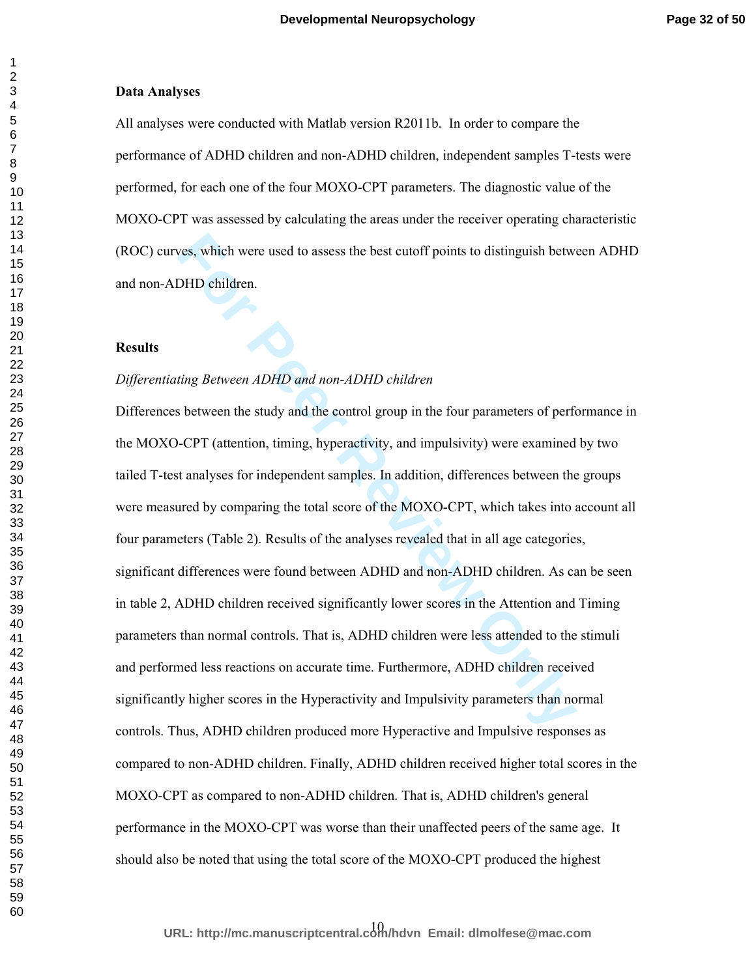#### **Data Analyses**

All analyses were conducted with Matlab version R2011b. In order to compare the performance of ADHD children and non-ADHD children, independent samples T-tests were performed, for each one of the four MOXO-CPT parameters. The diagnostic value of the MOXO-CPT was assessed by calculating the areas under the receiver operating characteristic (ROC) curves, which were used to assess the best cutoff points to distinguish between ADHD and non-ADHD children.

#### **Results**

## *Differentiating Between ADHD and non-ADHD children*

**Formular EXEC THE EXECT THE THE THE THE SET THAND SURVEY THE SURVEY THE SURVEY CHID children**.<br> **For PEER REVIEW AND AND AND CHID CHID CONDITY OF SURVEY THE SURVEY THE SURVEY THE SURVEY OF THE SURVEY CHIT CONTI<br>
<b>FOR PEER** Differences between the study and the control group in the four parameters of performance in the MOXO-CPT (attention, timing, hyperactivity, and impulsivity) were examined by two tailed T-test analyses for independent samples. In addition, differences between the groups were measured by comparing the total score of the MOXO-CPT, which takes into account all four parameters (Table 2). Results of the analyses revealed that in all age categories, significant differences were found between ADHD and non-ADHD children. As can be seen in table 2, ADHD children received significantly lower scores in the Attention and Timing parameters than normal controls. That is, ADHD children were less attended to the stimuli and performed less reactions on accurate time. Furthermore, ADHD children received significantly higher scores in the Hyperactivity and Impulsivity parameters than normal controls. Thus, ADHD children produced more Hyperactive and Impulsive responses as compared to non-ADHD children. Finally, ADHD children received higher total scores in the MOXO-CPT as compared to non-ADHD children. That is, ADHD children's general performance in the MOXO-CPT was worse than their unaffected peers of the same age. It should also be noted that using the total score of the MOXO-CPT produced the highest

10 **URL: http://mc.manuscriptcentral.com/hdvn Email: dlmolfese@mac.com**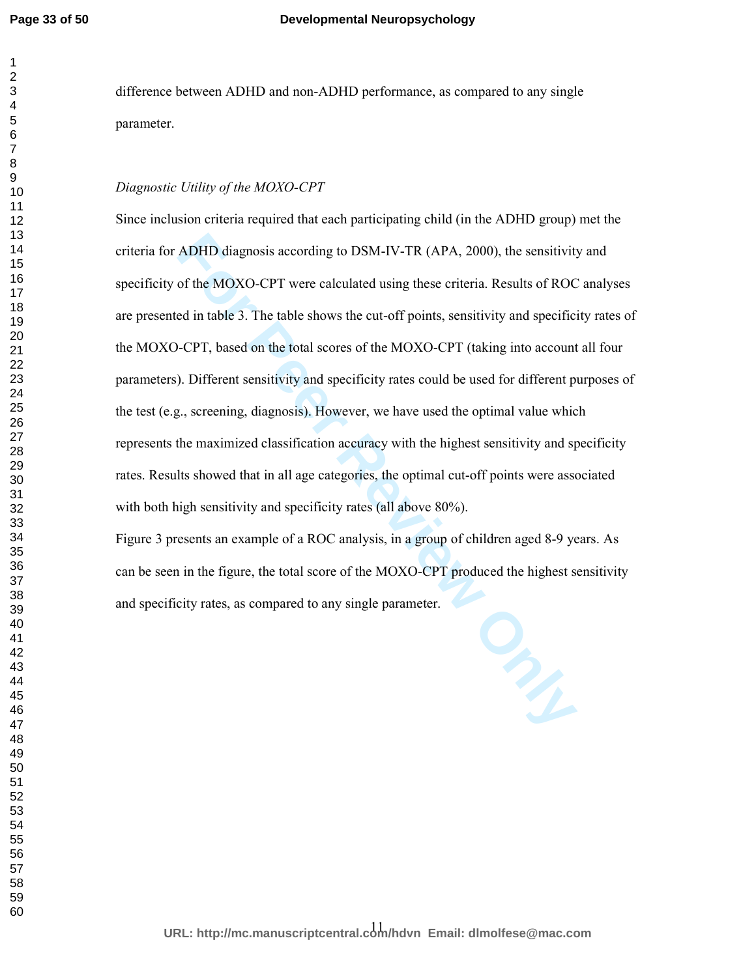difference between ADHD and non-ADHD performance, as compared to any single parameter.

# *Diagnostic Utility of the MOXO-CPT*

ADHD diagnosis according to DSM-IV-TR (APA, 2000), the sensitivity<br>of the MOXO-CPT were calculated using these criteria. Results of ROC<br>ed in table 3. The table shows the cut-off points, sensitivity and specifie-<br>CPT, base Since inclusion criteria required that each participating child (in the ADHD group) met the criteria for ADHD diagnosis according to DSM-IV-TR (APA, 2000), the sensitivity and specificity of the MOXO-CPT were calculated using these criteria. Results of ROC analyses are presented in table 3. The table shows the cut-off points, sensitivity and specificity rates of the MOXO-CPT, based on the total scores of the MOXO-CPT (taking into account all four parameters). Different sensitivity and specificity rates could be used for different purposes of the test  $(e.g., screening, diagnosis)$ . However, we have used the optimal value which represents the maximized classification accuracy with the highest sensitivity and specificity rates. Results showed that in all age categories, the optimal cut-off points were associated with both high sensitivity and specificity rates (all above 80%).

Figure 3 presents an example of a ROC analysis, in a group of children aged 8-9 years. As can be seen in the figure, the total score of the MOXO-CPT produced the highest sensitivity and specificity rates, as compared to any single parameter.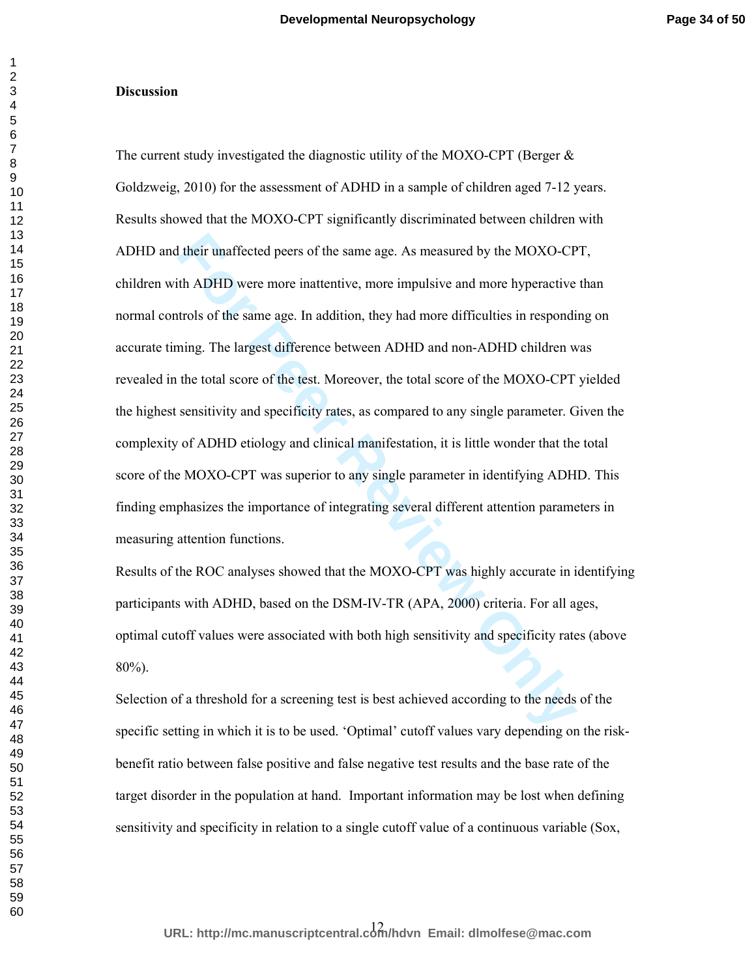#### **Discussion**

If their unaffected peers of the same age. As measured by the MOXO-CP<br>th ADHD were more inattentive, more impulsive and more hyperactive<br>trols of the same age. In addition, they had more difficulties in responding.<br>The lar The current study investigated the diagnostic utility of the MOXO-CPT (Berger  $\&$ Goldzweig, 2010) for the assessment of ADHD in a sample of children aged 7-12 years. Results showed that the MOXO-CPT significantly discriminated between children with ADHD and their unaffected peers of the same age. As measured by the MOXO-CPT, children with ADHD were more inattentive, more impulsive and more hyperactive than normal controls of the same age. In addition, they had more difficulties in responding on accurate timing. The largest difference between ADHD and non-ADHD children was revealed in the total score of the test. Moreover, the total score of the MOXO-CPT yielded the highest sensitivity and specificity rates, as compared to any single parameter. Given the complexity of ADHD etiology and clinical manifestation, it is little wonder that the total score of the MOXO-CPT was superior to any single parameter in identifying ADHD. This finding emphasizes the importance of integrating several different attention parameters in measuring attention functions.

Results of the ROC analyses showed that the MOXO-CPT was highly accurate in identifying participants with ADHD, based on the DSM-IV-TR (APA, 2000) criteria. For all ages, optimal cutoff values were associated with both high sensitivity and specificity rates (above 80%).

Selection of a threshold for a screening test is best achieved according to the needs of the specific setting in which it is to be used. 'Optimal' cutoff values vary depending on the riskbenefit ratio between false positive and false negative test results and the base rate of the target disorder in the population at hand. Important information may be lost when defining sensitivity and specificity in relation to a single cutoff value of a continuous variable (Sox,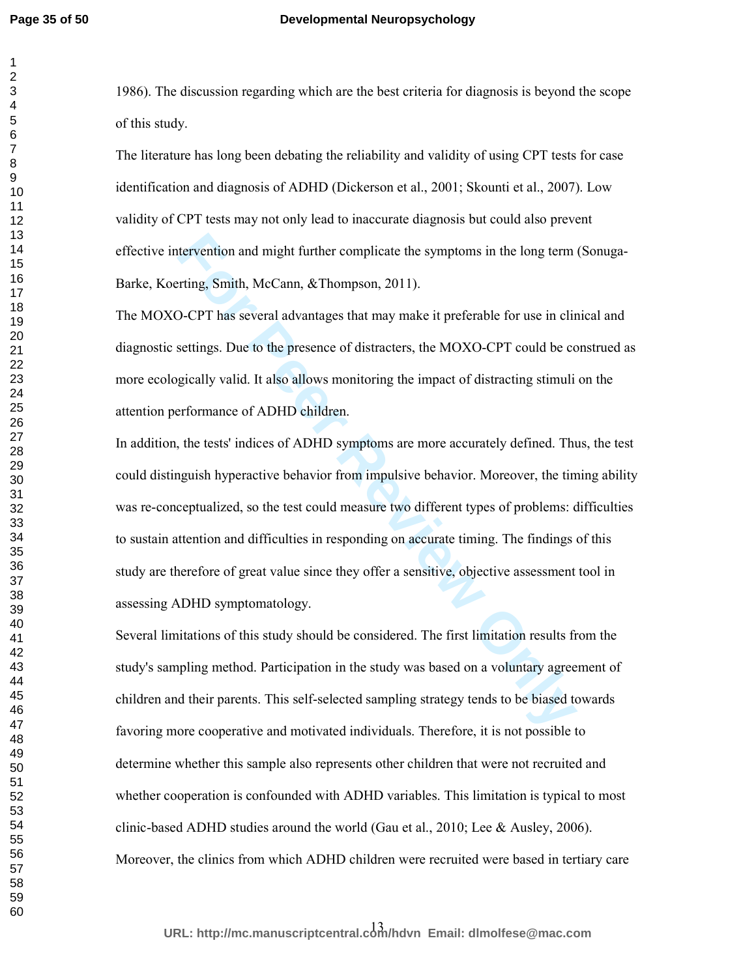1986). The discussion regarding which are the best criteria for diagnosis is beyond the scope of this study.

The literature has long been debating the reliability and validity of using CPT tests for case identification and diagnosis of ADHD (Dickerson et al., 2001; Skounti et al., 2007). Low validity of CPT tests may not only lead to inaccurate diagnosis but could also prevent effective intervention and might further complicate the symptoms in the long term (Sonuga-Barke, Koerting, Smith, McCann, &Thompson, 2011).

The MOXO-CPT has several advantages that may make it preferable for use in clinical and diagnostic settings. Due to the presence of distracters, the MOXO-CPT could be construed as more ecologically valid. It also allows monitoring the impact of distracting stimuli on the attention performance of ADHD children.

retrievention and might further complicate the symptoms in the long term<br>
Fiting, Smith, McCann, &Thompson, 2011).<br>
D-CPT has several advantages that may make it preferable for use in clin<br>
For PT has several advantages th In addition, the tests' indices of ADHD symptoms are more accurately defined. Thus, the test could distinguish hyperactive behavior from impulsive behavior. Moreover, the timing ability was re-conceptualized, so the test could measure two different types of problems: difficulties to sustain attention and difficulties in responding on accurate timing. The findings of this study are therefore of great value since they offer a sensitive, objective assessment tool in assessing ADHD symptomatology.

Several limitations of this study should be considered. The first limitation results from the study's sampling method. Participation in the study was based on a voluntary agreement of children and their parents. This self-selected sampling strategy tends to be biased towards favoring more cooperative and motivated individuals. Therefore, it is not possible to determine whether this sample also represents other children that were not recruited and whether cooperation is confounded with ADHD variables. This limitation is typical to most clinic-based ADHD studies around the world (Gau et al., 2010; Lee & Ausley, 2006). Moreover, the clinics from which ADHD children were recruited were based in tertiary care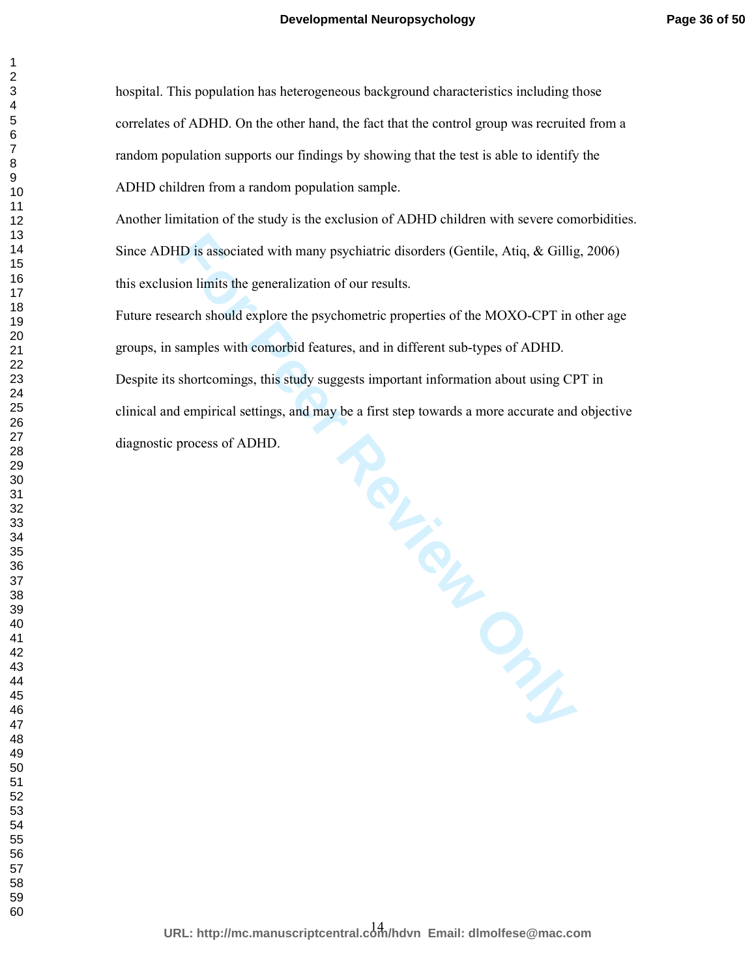hospital. This population has heterogeneous background characteristics including those correlates of ADHD. On the other hand, the fact that the control group was recruited from a random population supports our findings by showing that the test is able to identify the ADHD children from a random population sample.

Another limitation of the study is the exclusion of ADHD children with severe comorbidities. Since ADHD is associated with many psychiatric disorders (Gentile, Atiq, & Gillig, 2006) this exclusion limits the generalization of our results.

Future research should explore the psychometric properties of the MOXO-CPT in other age groups, in samples with comorbid features, and in different sub-types of ADHD. Despite its shortcomings, this study suggests important information about using CPT in clinical and empirical settings, and may be a first step towards a more accurate and objective diagnostic process of ADHD.

**For Peer Sites Sec.**<br>
For Person Constant Sec.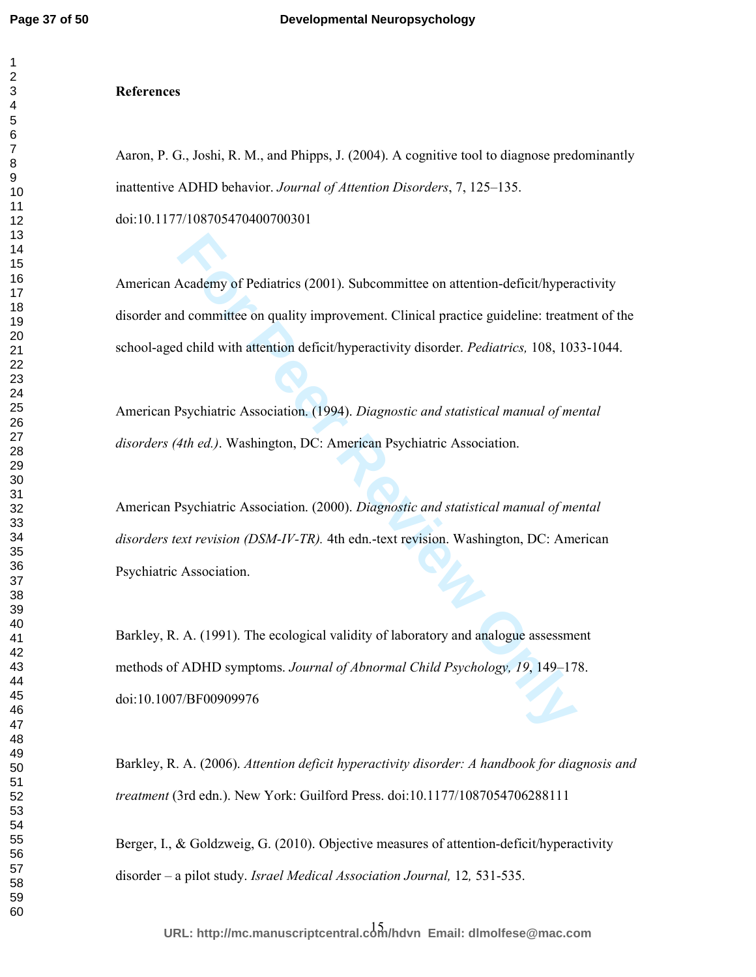#### **References**

Aaron, P. G., Joshi, R. M., and Phipps, J. (2004). A cognitive tool to diagnose predominantly inattentive ADHD behavior. *Journal of Attention Disorders*, 7, 125–135.

doi:10.1177/108705470400700301

American Academy of Pediatrics (2001). Subcommittee on attention-deficit/hyperactivity disorder and committee on quality improvement. Clinical practice guideline: treatment of the school-aged child with attention deficit/hyperactivity disorder. *Pediatrics,* 108, 1033-1044.

American Psychiatric Association. (1994). *Diagnostic and statistical manual of mental disorders (4th ed.)*. Washington, DC: American Psychiatric Association.

Academy of Pediatrics (2001). Subcommittee on attention-deficit/hyperal committee on quality improvement. Clinical practice guideline: treatry definited with attention deficit/hyperactivity disorder. *Pediatrics*, 108, 103 American Psychiatric Association. (2000). *Diagnostic and statistical manual of mental disorders text revision (DSM-IV-TR).* 4th edn.-text revision. Washington, DC: American Psychiatric Association.

Barkley, R. A. (1991). The ecological validity of laboratory and analogue assessment methods of ADHD symptoms. *Journal of Abnormal Child Psychology, 19*, 149–178. doi:10.1007/BF00909976

Barkley, R. A. (2006). *Attention deficit hyperactivity disorder: A handbook for diagnosis and treatment* (3rd edn.). New York: Guilford Press. doi:10.1177/1087054706288111

Berger, I., & Goldzweig, G. (2010). Objective measures of attention-deficit/hyperactivity disorder – a pilot study. *Israel Medical Association Journal,* 12*,* 531-535.

15 **URL: http://mc.manuscriptcentral.com/hdvn Email: dlmolfese@mac.com**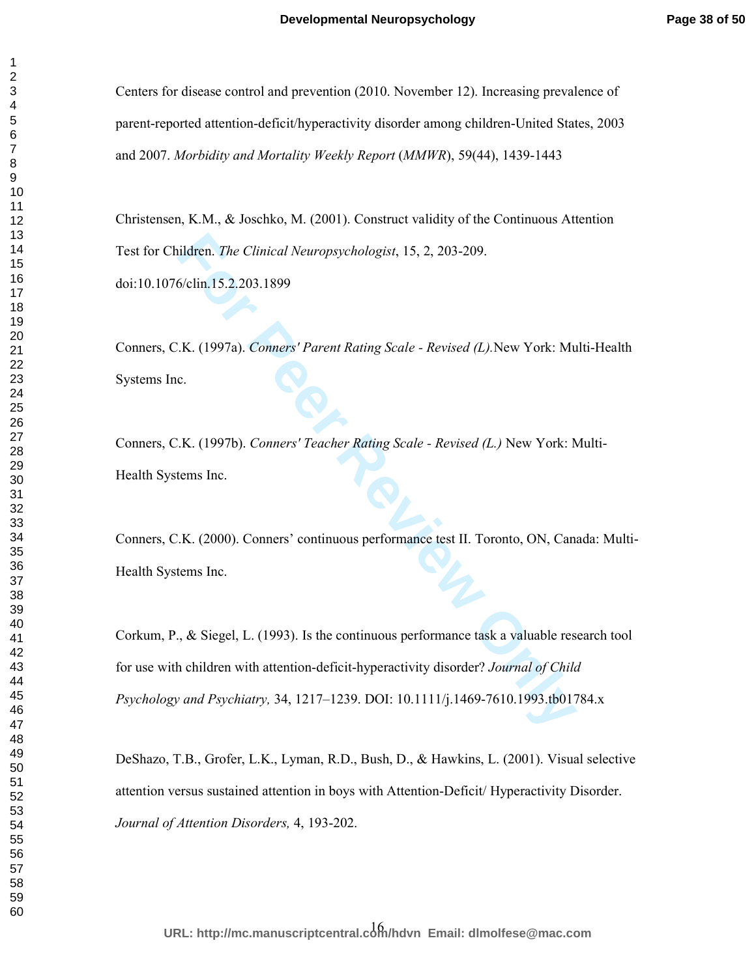Centers for disease control and prevention (2010. November 12). Increasing prevalence of parent-reported attention-deficit/hyperactivity disorder among children-United States, 2003 and 2007. *Morbidity and Mortality Weekly Report* (*MMWR*), 59(44), 1439-1443

Christensen, K.M., & Joschko, M. (2001). Construct validity of the Continuous Attention Test for Children. *The Clinical Neuropsychologist*, 15, 2, 203-209.

doi:10.1076/clin.15.2.203.1899

Conners, C.K. (1997a). *Conners' Parent Rating Scale - Revised (L).*New York: Multi-Health Systems Inc.

Conners, C.K. (1997b). *Conners' Teacher Rating Scale - Revised (L.)* New York: Multi-Health Systems Inc.

Conners, C.K. (2000). Conners' continuous performance test II. Toronto, ON, Canada: Multi-Health Systems Inc.

ildren. *The Clinical Neuropsychologist*, 15, 2, 203-209.<br>
6/clin.15.2.203.1899<br>
F.K. (1997a). *Conners' Parent Rating Scale - Revised (L)*. New York: Mu<br>
c.<br>
F.K. (1997b). *Conners' Teacher Rating Scale - Revised (L.)* Ne Corkum, P., & Siegel, L. (1993). Is the continuous performance task a valuable research tool for use with children with attention-deficit-hyperactivity disorder? *Journal of Child Psychology and Psychiatry,* 34, 1217–1239. DOI: 10.1111/j.1469-7610.1993.tb01784.x

DeShazo, T.B., Grofer, L.K., Lyman, R.D., Bush, D., & Hawkins, L. (2001). Visual selective attention versus sustained attention in boys with Attention-Deficit/ Hyperactivity Disorder. *Journal of Attention Disorders,* 4, 193-202.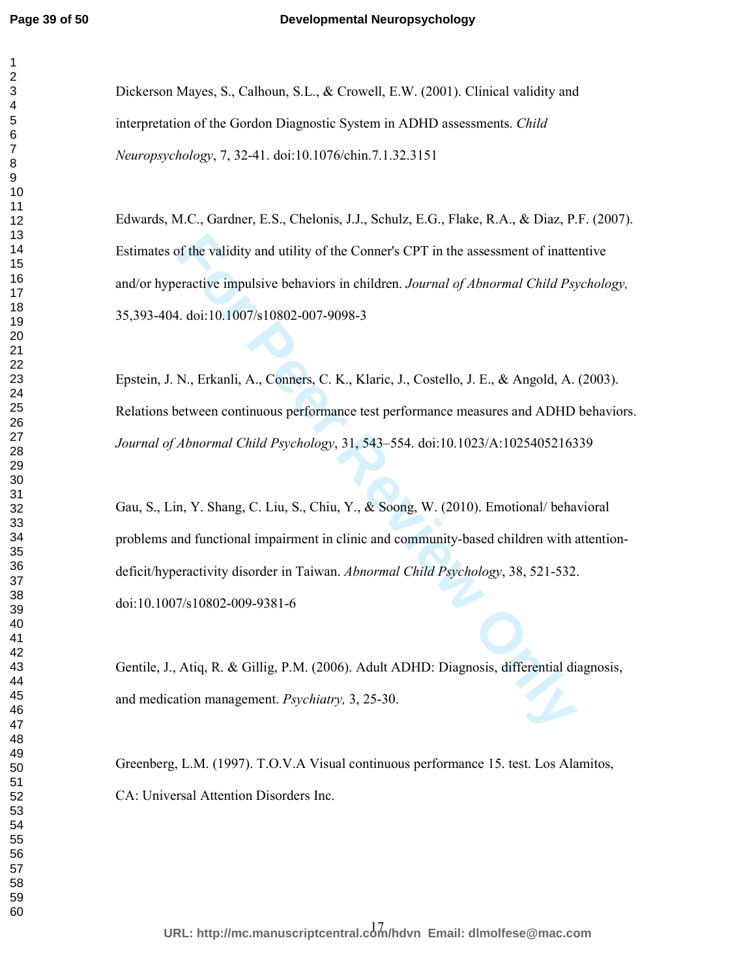#### **Developmental Neuropsychology**

Dickerson Mayes, S., Calhoun, S.L., & Crowell, E.W. (2001). Clinical validity and interpretation of the Gordon Diagnostic System in ADHD assessments. *Child Neuropsychology*, 7, 32-41. doi:10.1076/chin.7.1.32.3151

Edwards, M.C., Gardner, E.S., Chelonis, J.J., Schulz, E.G., Flake, R.A., & Diaz, P.F. (2007). Estimates of the validity and utility of the Conner's CPT in the assessment of inattentive and/or hyperactive impulsive behaviors in children. *Journal of Abnormal Child Psychology,*  35,393-404. doi:10.1007/s10802-007-9098-3

Epstein, J. N., Erkanli, A., Conners, C. K., Klaric, J., Costello, J. E., & Angold, A. (2003). Relations between continuous performance test performance measures and ADHD behaviors. *Journal of Abnormal Child Psychology*, 31, 543–554. doi:10.1023/A:1025405216339

of the validity and utility of the Conner's CPT in the assessment of inatteractive impulsive behaviors in children. *Journal of Abnormal Child Psy*, al. doi:10.1007/s10802-007-9098-3<br>
N., Erkanli, A., Conners, C. K., Klari Gau, S., Lin, Y. Shang, C. Liu, S., Chiu, Y., & Soong, W. (2010). Emotional/ behavioral problems and functional impairment in clinic and community-based children with attentiondeficit/hyperactivity disorder in Taiwan. *Abnormal Child Psychology*, 38, 521-532. doi:10.1007/s10802-009-9381-6

Gentile, J., Atiq, R. & Gillig, P.M. (2006). Adult ADHD: Diagnosis, differential diagnosis, and medication management. *Psychiatry,* 3, 25-30.

Greenberg, L.M. (1997). T.O.V.A Visual continuous performance 15. test. Los Alamitos, CA: Universal Attention Disorders Inc.

17 **URL: http://mc.manuscriptcentral.com/hdvn Email: dlmolfese@mac.com**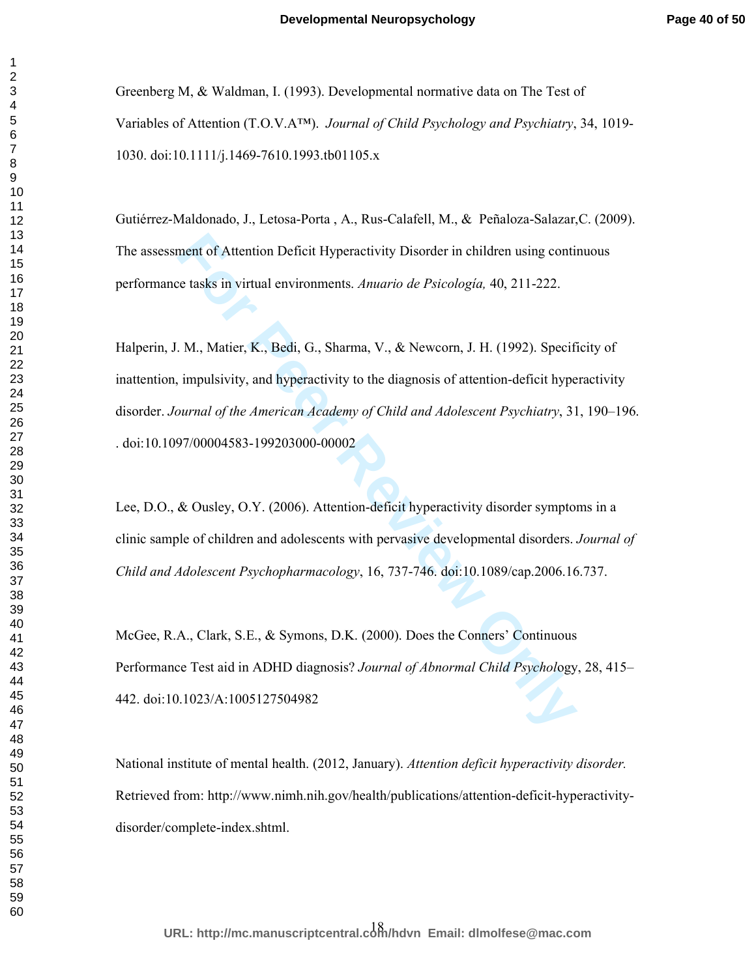Greenberg M, & Waldman, I. (1993). Developmental normative data on The Test of Variables of Attention (T.O.V.A™). *Journal of Child Psychology and Psychiatry*, 34, 1019- 1030. doi:10.1111/j.1469-7610.1993.tb01105.x

Gutiérrez-Maldonado, J., Letosa-Porta , A., Rus-Calafell, M., & Peñaloza-Salazar,C. (2009). The assessment of Attention Deficit Hyperactivity Disorder in children using continuous performance tasks in virtual environments. *Anuario de Psicología,* 40, 211-222.

ment of Attention Deficit Hyperactivity Disorder in children using contic te tasks in virtual environments. *Anuario de Psicologia*, 40, 211-222.<br> **For Peer Review Allen Exercises** Anuario *de Psicologia*, 40, 211-222.<br> **F** Halperin, J. M., Matier, K., Bedi, G., Sharma, V., & Newcorn, J. H. (1992). Specificity of inattention, impulsivity, and hyperactivity to the diagnosis of attention-deficit hyperactivity disorder. *Journal of the American Academy of Child and Adolescent Psychiatry*, 31, 190–196. . doi:10.1097/00004583-199203000-00002

Lee, D.O., & Ousley, O.Y. (2006). Attention-deficit hyperactivity disorder symptoms in a clinic sample of children and adolescents with pervasive developmental disorders. *Journal of Child and Adolescent Psychopharmacology*, 16, 737-746. doi:10.1089/cap.2006.16.737.

McGee, R.A., Clark, S.E., & Symons, D.K. (2000). Does the Conners' Continuous Performance Test aid in ADHD diagnosis? *Journal of Abnormal Child Psychol*ogy, 28, 415– 442. doi:10.1023/A:1005127504982

National institute of mental health. (2012, January). *Attention deficit hyperactivity disorder.* Retrieved from: http://www.nimh.nih.gov/health/publications/attention-deficit-hyperactivitydisorder/complete-index.shtml.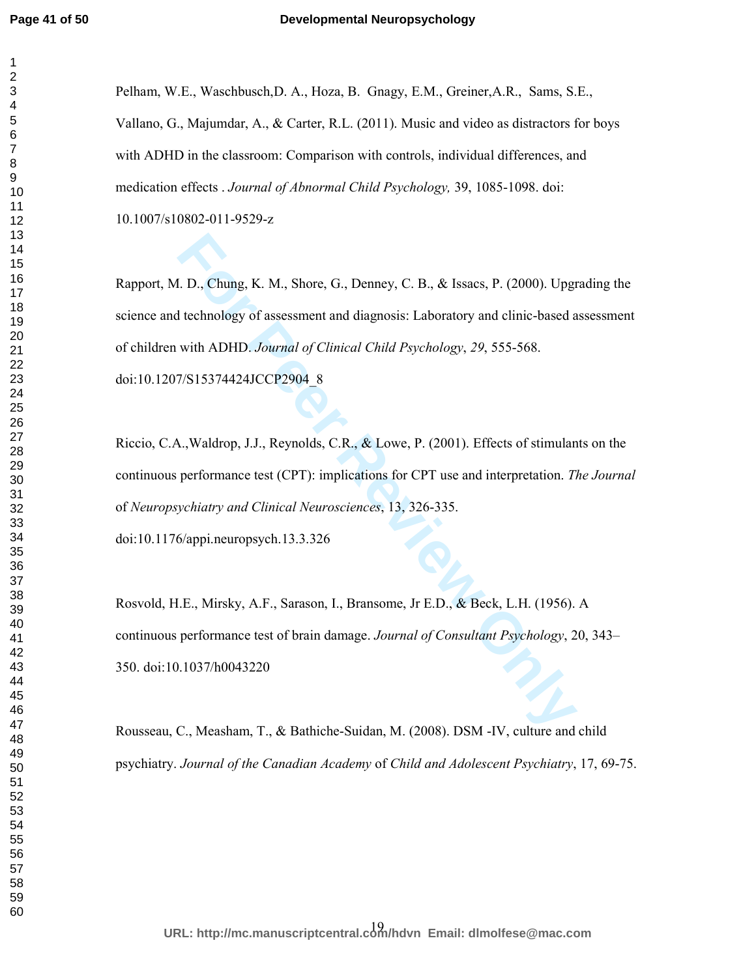Pelham, W.E., Waschbusch,D. A., Hoza, B. Gnagy, E.M., Greiner,A.R., Sams, S.E., Vallano, G., Majumdar, A., & Carter, R.L. (2011). Music and video as distractors for boys with ADHD in the classroom: Comparison with controls, individual differences, and medication effects . *Journal of Abnormal Child Psychology,* 39, 1085-1098. doi: 10.1007/s10802-011-9529-z

**For Perryi Conservation**, Shore, G., Denney, C. B., & Issaes, P. (2000). Upgt<br> **For Perryi Exercision** and diagnosis: Laboratory and clinic-based a<br>
with ADHD. Journal of Clinical Child Psychology, 29, 555-568.<br>
7/S153744 Rapport, M. D., Chung, K. M., Shore, G., Denney, C. B., & Issacs, P. (2000). Upgrading the science and technology of assessment and diagnosis: Laboratory and clinic-based assessment of children with ADHD. *Journal of Clinical Child Psychology*, *29*, 555-568. doi:10.1207/S15374424JCCP2904\_8

Riccio, C.A.,Waldrop, J.J., Reynolds, C.R., & Lowe, P. (2001). Effects of stimulants on the continuous performance test (CPT): implications for CPT use and interpretation. *The Journal* of *Neuropsychiatry and Clinical Neurosciences*, 13, 326-335. doi:10.1176/appi.neuropsych.13.3.326

Rosvold, H.E., Mirsky, A.F., Sarason, I., Bransome, Jr E.D., & Beck, L.H. (1956). A continuous performance test of brain damage. *Journal of Consultant Psychology*, 20, 343– 350. doi:10.1037/h0043220

Rousseau, C., Measham, T., & Bathiche-Suidan, M. (2008). DSM -IV, culture and child psychiatry. *Journal of the Canadian Academy* of *Child and Adolescent Psychiatry*, 17, 69-75.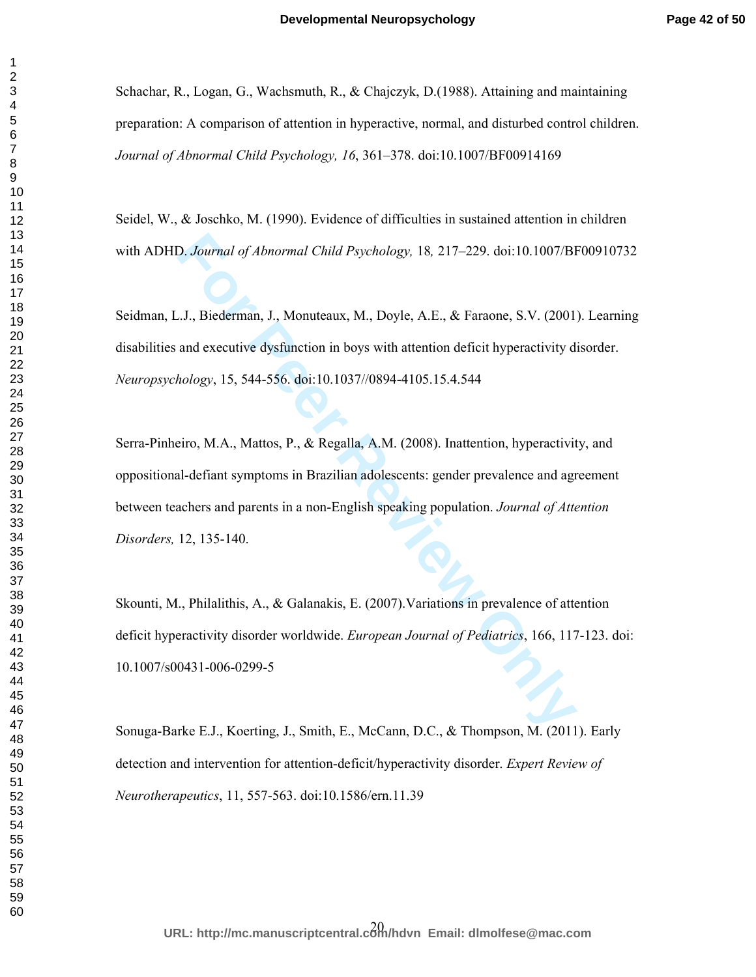Schachar, R., Logan, G., Wachsmuth, R., & Chajczyk, D.(1988). Attaining and maintaining preparation: A comparison of attention in hyperactive, normal, and disturbed control children. *Journal of Abnormal Child Psychology, 16*, 361–378. doi:10.1007/BF00914169

Seidel, W., & Joschko, M. (1990). Evidence of difficulties in sustained attention in children with ADHD. *Journal of Abnormal Child Psychology,* 18*,* 217–229. doi:10.1007/BF00910732

Seidman, L.J., Biederman, J., Monuteaux, M., Doyle, A.E., & Faraone, S.V. (2001). Learning disabilities and executive dysfunction in boys with attention deficit hyperactivity disorder. *Neuropsychology*, 15, 544-556. doi:10.1037//0894-4105.15.4.544

**Following Controllary Admonmand Child Psychology, 18, 217–229.** doi:10.1007/BI<br> *For Peerman, J., Monuteaux, M., Doyle, A.E., & Faraone, S.V.* (2001)<br>
and executive dysfunction in boys with attention deficit hyperactivity Serra-Pinheiro, M.A., Mattos, P., & Regalla, A.M. (2008). Inattention, hyperactivity, and oppositional-defiant symptoms in Brazilian adolescents: gender prevalence and agreement between teachers and parents in a non-English speaking population. *Journal of Attention Disorders,* 12, 135-140.

Skounti, M., Philalithis, A., & Galanakis, E. (2007).Variations in prevalence of attention deficit hyperactivity disorder worldwide. *European Journal of Pediatrics*, 166, 117-123. doi: 10.1007/s00431-006-0299-5

Sonuga-Barke E.J., Koerting, J., Smith, E., McCann, D.C., & Thompson, M. (2011). Early detection and intervention for attention-deficit/hyperactivity disorder. *Expert Review of Neurotherapeutics*, 11, 557-563. doi:10.1586/ern.11.39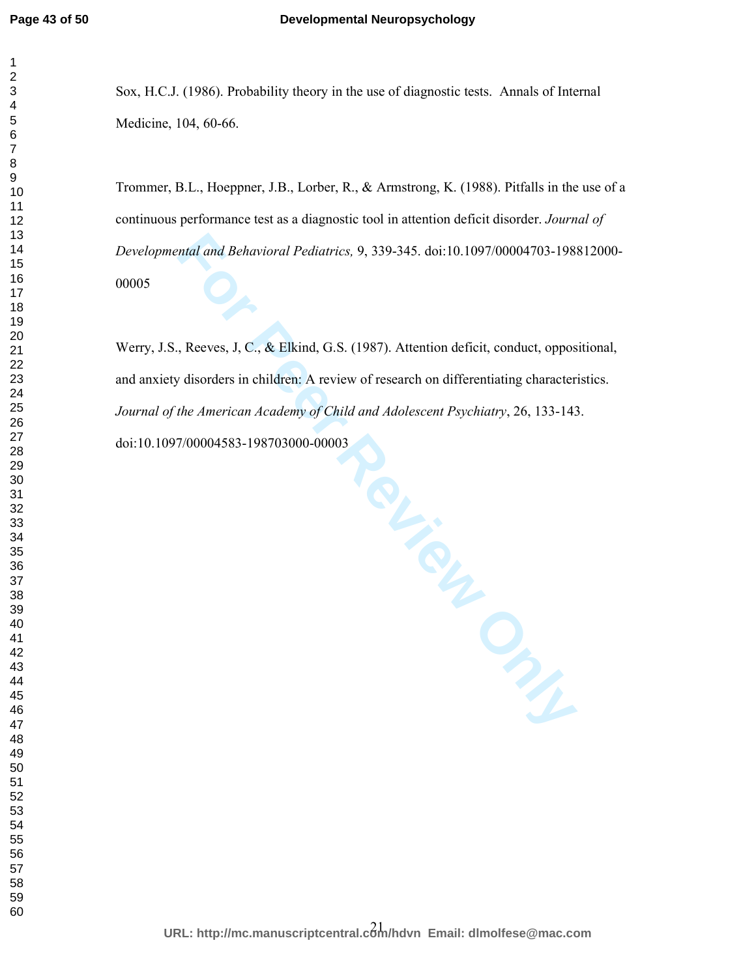Sox, H.C.J. (1986). Probability theory in the use of diagnostic tests. Annals of Internal Medicine, 104, 60-66.

Trommer, B.L., Hoeppner, J.B., Lorber, R., & Armstrong, K. (1988). Pitfalls in the use of a continuous performance test as a diagnostic tool in attention deficit disorder. *Journal of Developmental and Behavioral Pediatrics,* 9, 339-345. doi:10.1097/00004703-198812000- 

**For Peer Review Only** Werry, J.S., Reeves, J, C., & Elkind, G.S. (1987). Attention deficit, conduct, oppositional, and anxiety disorders in children: A review of research on differentiating characteristics. *Journal of the American Academy of Child and Adolescent Psychiatry*, 26, 133-143. doi:10.1097/00004583-198703000-00003

21 **URL: http://mc.manuscriptcentral.com/hdvn Email: dlmolfese@mac.com**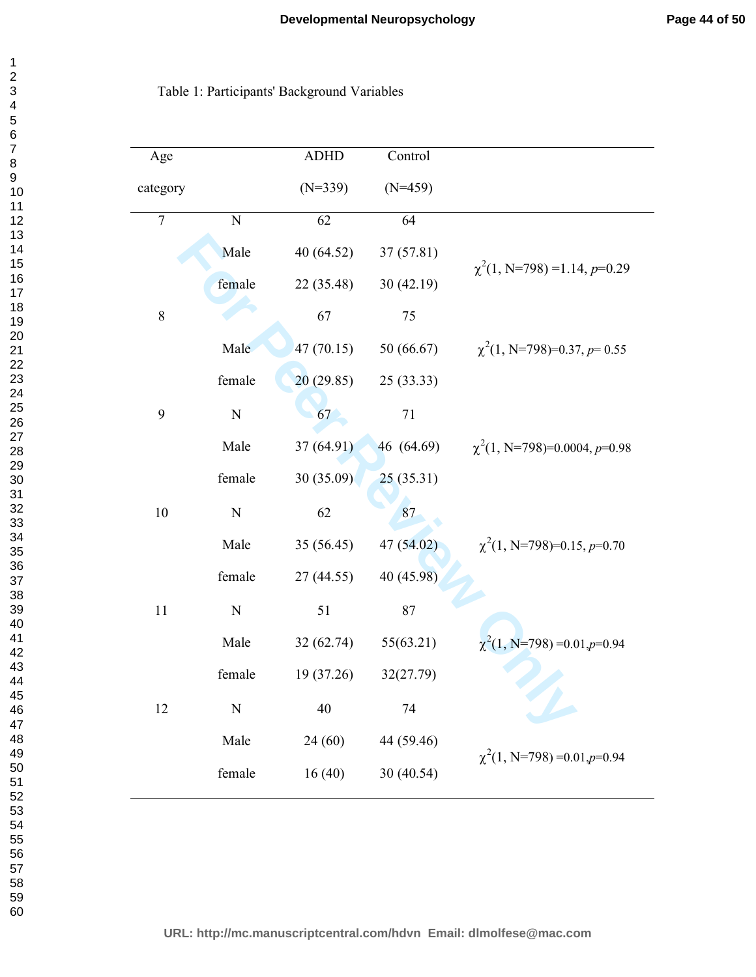# Table 1: Participants' Background Variables

| Age              |             | <b>ADHD</b> | Control    |                                   |
|------------------|-------------|-------------|------------|-----------------------------------|
| category         |             | $(N=339)$   | $(N=459)$  |                                   |
| $\boldsymbol{7}$ | $\mathbf N$ | 62          | 64         |                                   |
|                  | Male        | 40 (64.52)  | 37 (57.81) | $\chi^2(1, N=798) = 1.14, p=0.29$ |
|                  | female      | 22 (35.48)  | 30(42.19)  |                                   |
| $\,$ $\,$        |             | 67          | 75         |                                   |
|                  | Male        | 47 (70.15)  | 50 (66.67) | $\chi^2(1, N=798)=0.37, p=0.55$   |
|                  | female      | 20(29.85)   | 25(33.33)  |                                   |
| 9                | $\mathbf N$ | 67          | 71         |                                   |
|                  | Male        | 37 (64.91)  | 46 (64.69) | $\chi^2(1, N=798)=0.0004, p=0.98$ |
|                  | female      | 30(35.09)   | 25(35.31)  |                                   |
| 10               | ${\bf N}$   | 62          | 87         |                                   |
|                  | Male        | 35 (56.45)  | 47 (54.02) | $\chi^2(1, N=798)=0.15, p=0.70$   |
|                  | female      | 27(44.55)   | 40 (45.98) |                                   |
| 11               | $\mathbf N$ | 51          | 87         |                                   |
|                  | Male        | 32(62.74)   | 55(63.21)  | $\chi^2(1, N=798) = 0.01, p=0.94$ |
|                  | female      | 19 (37.26)  | 32(27.79)  |                                   |
| 12               | $\mathbf N$ | 40          | 74         |                                   |
|                  | Male        | 24(60)      | 44 (59.46) |                                   |
|                  | female      | 16(40)      | 30 (40.54) | $\chi^2(1, N=798) = 0.01, p=0.94$ |

**URL: http://mc.manuscriptcentral.com/hdvn Email: dlmolfese@mac.com**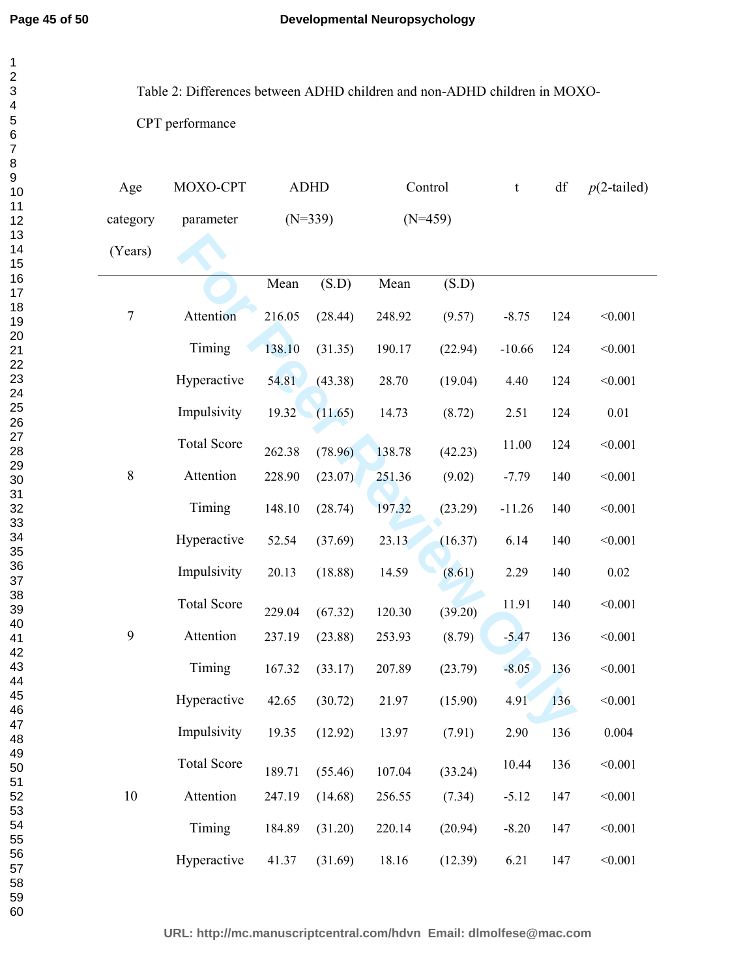Table 2: Differences between ADHD children and non-ADHD children in MOXO-

CPT performance

| Age        | MOXO-CPT           |        | <b>ADHD</b> |           | Control | $\mathsf t$ | df  | $p(2$ -tailed) |
|------------|--------------------|--------|-------------|-----------|---------|-------------|-----|----------------|
| category   | parameter          |        | $(N=339)$   | $(N=459)$ |         |             |     |                |
| (Years)    |                    |        |             |           |         |             |     |                |
|            |                    | Mean   | (S.D)       | Mean      | (S.D)   |             |     |                |
| $\sqrt{ }$ | Attention          | 216.05 | (28.44)     | 248.92    | (9.57)  | $-8.75$     | 124 | < 0.001        |
|            | Timing             | 138.10 | (31.35)     | 190.17    | (22.94) | $-10.66$    | 124 | < 0.001        |
|            | Hyperactive        | 54.81  | (43.38)     | 28.70     | (19.04) | 4.40        | 124 | < 0.001        |
|            | Impulsivity        | 19.32  | (11.65)     | 14.73     | (8.72)  | 2.51        | 124 | $0.01\,$       |
|            | <b>Total Score</b> | 262.38 | (78.96)     | 138.78    | (42.23) | 11.00       | 124 | < 0.001        |
| $\,$ $\,$  | Attention          | 228.90 | (23.07)     | 251.36    | (9.02)  | $-7.79$     | 140 | < 0.001        |
|            | Timing             | 148.10 | (28.74)     | 197.32    | (23.29) | $-11.26$    | 140 | < 0.001        |
|            | Hyperactive        | 52.54  | (37.69)     | 23.13     | (16.37) | 6.14        | 140 | < 0.001        |
|            | Impulsivity        | 20.13  | (18.88)     | 14.59     | (8.61)  | 2.29        | 140 | $0.02\,$       |
| 9          | <b>Total Score</b> | 229.04 | (67.32)     | 120.30    | (39.20) | 11.91       | 140 | < 0.001        |
|            | Attention          | 237.19 | (23.88)     | 253.93    | (8.79)  | $-5.47$     | 136 | < 0.001        |
|            | Timing             | 167.32 | (33.17)     | 207.89    | (23.79) | $-8.05$     | 136 | < 0.001        |
|            | Hyperactive        | 42.65  | (30.72)     | 21.97     | (15.90) | 4.91        | 136 | < 0.001        |
|            | Impulsivity        | 19.35  | (12.92)     | 13.97     | (7.91)  | 2.90        | 136 | 0.004          |
| 10         | <b>Total Score</b> | 189.71 | (55.46)     | 107.04    | (33.24) | 10.44       | 136 | < 0.001        |
|            | Attention          | 247.19 | (14.68)     | 256.55    | (7.34)  | $-5.12$     | 147 | < 0.001        |
|            | Timing             | 184.89 | (31.20)     | 220.14    | (20.94) | $-8.20$     | 147 | < 0.001        |
|            | Hyperactive        | 41.37  | (31.69)     | 18.16     | (12.39) | 6.21        | 147 | < 0.001        |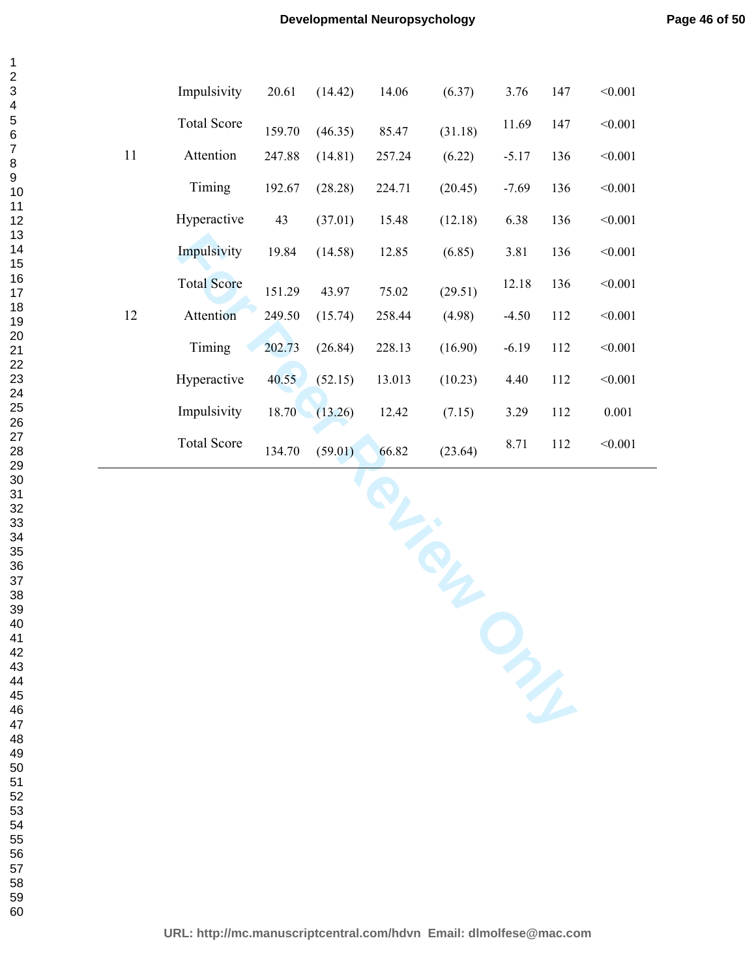|    | Impulsivity        | 20.61  | (14.42) | 14.06  | (6.37)  | 3.76    | 147 | < 0.001 |
|----|--------------------|--------|---------|--------|---------|---------|-----|---------|
|    | <b>Total Score</b> | 159.70 | (46.35) | 85.47  | (31.18) | 11.69   | 147 | < 0.001 |
| 11 | Attention          | 247.88 | (14.81) | 257.24 | (6.22)  | $-5.17$ | 136 | < 0.001 |
|    | Timing             | 192.67 | (28.28) | 224.71 | (20.45) | $-7.69$ | 136 | < 0.001 |
|    | Hyperactive        | 43     | (37.01) | 15.48  | (12.18) | 6.38    | 136 | < 0.001 |
|    | Impulsivity        | 19.84  | (14.58) | 12.85  | (6.85)  | 3.81    | 136 | < 0.001 |
|    | <b>Total Score</b> | 151.29 | 43.97   | 75.02  | (29.51) | 12.18   | 136 | < 0.001 |
| 12 | Attention          | 249.50 | (15.74) | 258.44 | (4.98)  | $-4.50$ | 112 | < 0.001 |
|    | Timing             | 202.73 | (26.84) | 228.13 | (16.90) | $-6.19$ | 112 | < 0.001 |
|    | Hyperactive        | 40.55  | (52.15) | 13.013 | (10.23) | 4.40    | 112 | < 0.001 |
|    | Impulsivity        | 18.70  | (13.26) | 12.42  | (7.15)  | 3.29    | 112 | 0.001   |
|    | <b>Total Score</b> | 134.70 | (59.01) | 66.82  | (23.64) | 8.71    | 112 | < 0.001 |
|    |                    |        |         |        |         |         |     |         |

**For Primer Review Only**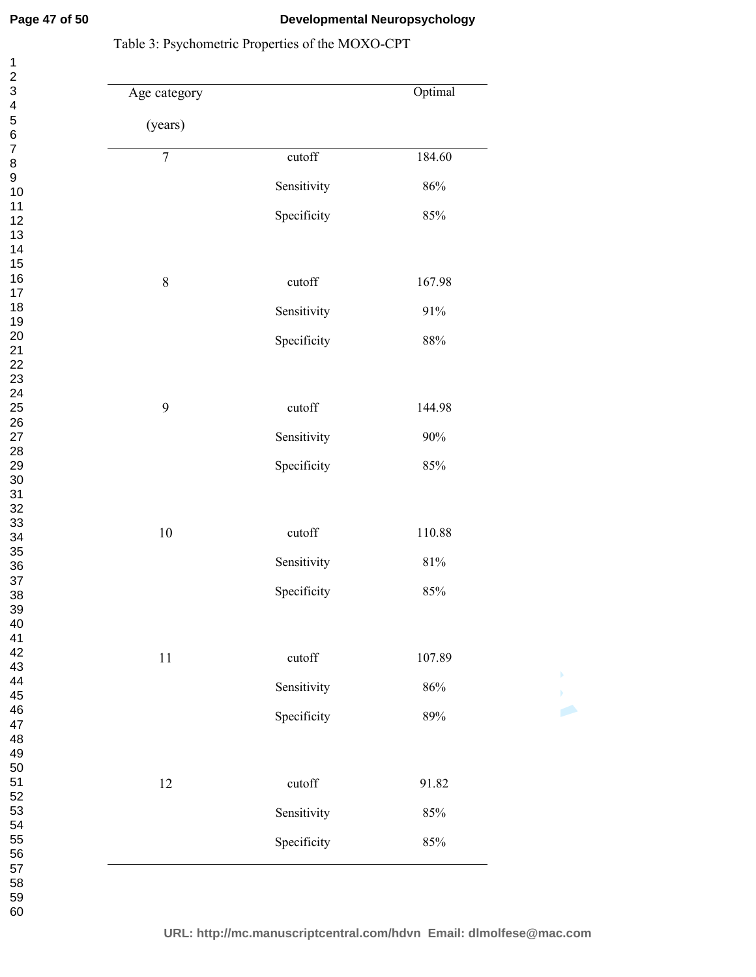# **Developmental Neuropsychology**

| 28<br>29<br>30<br>31<br>32<br>33<br>34<br>$\frac{35}{1}$<br>36<br>37<br>38<br>39<br>40<br>41<br>42<br>43<br>44<br>45<br>46<br>47<br>48<br>49<br>50<br>51<br>52<br>53<br>54<br>55<br>56<br>57 | 1<br>$\overline{c}$<br>3<br>4<br>5<br>6<br>7<br>8<br>9<br>10<br>11<br>12141516718121222222222<br>25<br>26<br>27 |  |
|----------------------------------------------------------------------------------------------------------------------------------------------------------------------------------------------|-----------------------------------------------------------------------------------------------------------------|--|
|                                                                                                                                                                                              |                                                                                                                 |  |
|                                                                                                                                                                                              |                                                                                                                 |  |
|                                                                                                                                                                                              |                                                                                                                 |  |
|                                                                                                                                                                                              |                                                                                                                 |  |
|                                                                                                                                                                                              |                                                                                                                 |  |
|                                                                                                                                                                                              |                                                                                                                 |  |
|                                                                                                                                                                                              | 58                                                                                                              |  |

# Table 3: Psychometric Properties of the MOXO-CPT

| Age category   |                 | Optimal |   |
|----------------|-----------------|---------|---|
| (years)        |                 |         |   |
| $\overline{7}$ | cutoff          | 184.60  |   |
|                | Sensitivity     | $86\%$  |   |
|                | Specificity     | $85\%$  |   |
|                |                 |         |   |
| $\,8\,$        | $\mbox{cutoff}$ | 167.98  |   |
|                | Sensitivity     | $91\%$  |   |
|                | Specificity     | $88\%$  |   |
|                |                 |         |   |
| 9              | cutoff          | 144.98  |   |
|                | Sensitivity     | $90\%$  |   |
|                | Specificity     | $85\%$  |   |
|                |                 |         |   |
| $10\,$         | $\mbox{cutoff}$ | 110.88  |   |
|                | Sensitivity     | $81\%$  |   |
|                | Specificity     | $85\%$  |   |
|                |                 |         |   |
| $11\,$         | cutoff          | 107.89  |   |
|                | Sensitivity     | $86\%$  | Þ |
|                | Specificity     | $89\%$  |   |
|                |                 |         |   |
| 12             | cutoff          | 91.82   |   |
|                | Sensitivity     | $85\%$  |   |
|                | Specificity     | $85\%$  |   |
|                |                 |         |   |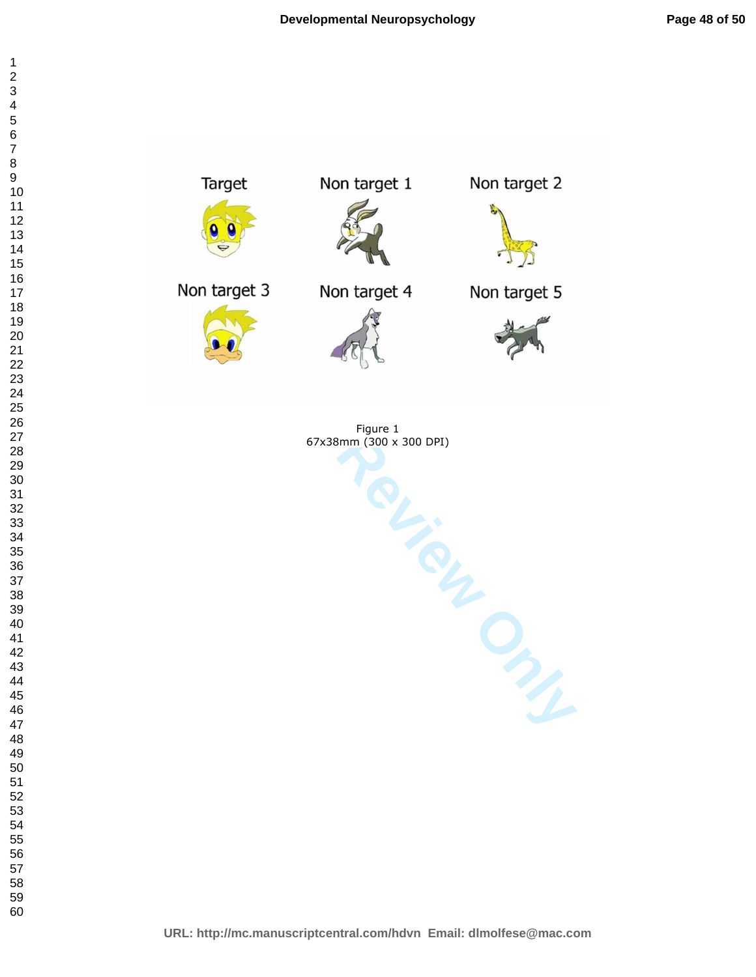

Figure 1 67x38mm (300 x 300 DPI)

**URL: http://mc.manuscriptcentral.com/hdvn Email: dlmolfese@mac.com**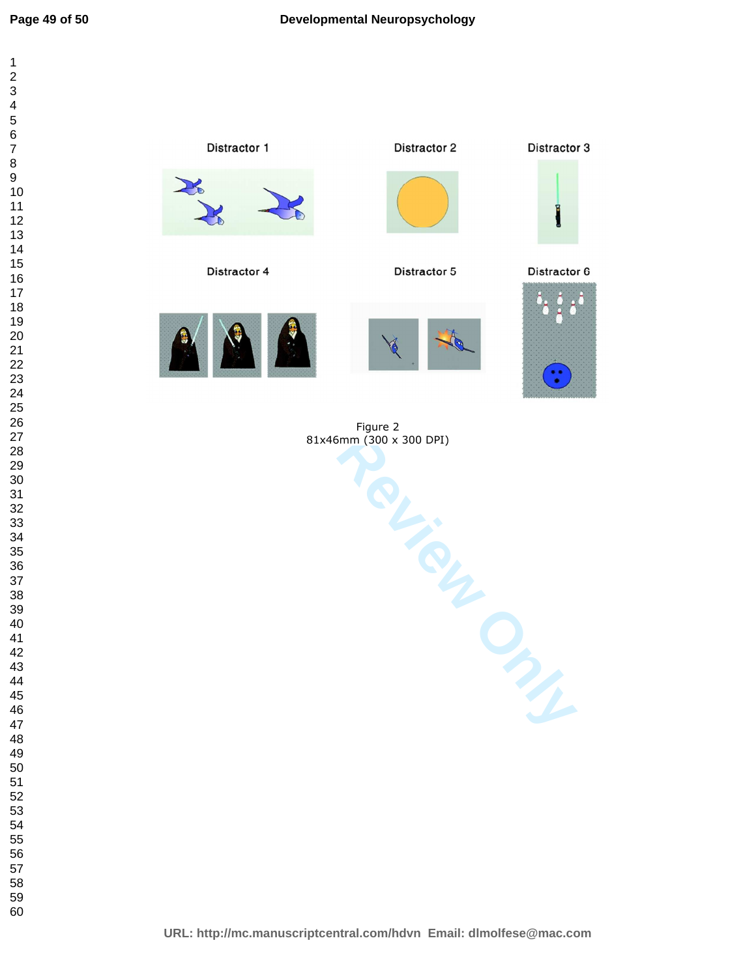Distractor 2

Distractor 3





Figure 2 81x46mm (300 x 300 DPI)

**URL: http://mc.manuscriptcentral.com/hdvn Email: dlmolfese@mac.com**